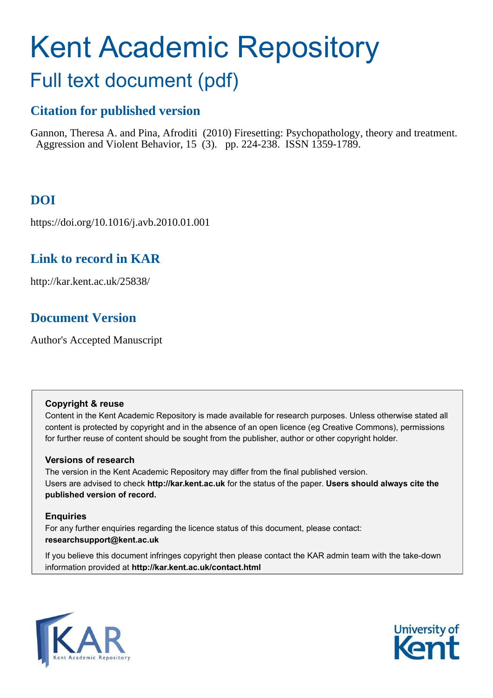# Kent Academic Repository

## Full text document (pdf)

## **Citation for published version**

Gannon, Theresa A. and Pina, Afroditi (2010) Firesetting: Psychopathology, theory and treatment. Aggression and Violent Behavior, 15 (3). pp. 224-238. ISSN 1359-1789.

## **DOI**

https://doi.org/10.1016/j.avb.2010.01.001

## **Link to record in KAR**

http://kar.kent.ac.uk/25838/

## **Document Version**

Author's Accepted Manuscript

#### **Copyright & reuse**

Content in the Kent Academic Repository is made available for research purposes. Unless otherwise stated all content is protected by copyright and in the absence of an open licence (eg Creative Commons), permissions for further reuse of content should be sought from the publisher, author or other copyright holder.

#### **Versions of research**

The version in the Kent Academic Repository may differ from the final published version. Users are advised to check **http://kar.kent.ac.uk** for the status of the paper. **Users should always cite the published version of record.**

#### **Enquiries**

For any further enquiries regarding the licence status of this document, please contact: **researchsupport@kent.ac.uk**

If you believe this document infringes copyright then please contact the KAR admin team with the take-down information provided at **http://kar.kent.ac.uk/contact.html**



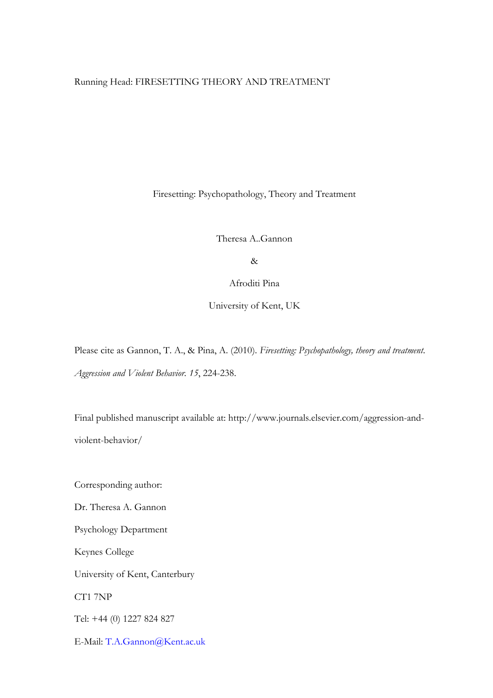#### Running Head: FIRESETTING THEORY AND TREATMENT

Firesetting: Psychopathology, Theory and Treatment

Theresa A..Gannon

&

Afroditi Pina

University of Kent, UK

Please cite as Gannon, T. A., & Pina, A. (2010). *Firesetting: Psychopathology, theory and treatment*. *Aggression and Violent Behavior. 15*, 224-238.

Final published manuscript available at: http://www.journals.elsevier.com/aggression-andviolent-behavior/

Corresponding author:

Dr. Theresa A. Gannon

Psychology Department

Keynes College

University of Kent, Canterbury

CT1 7NP

Tel: +44 (0) 1227 824 827

E-Mail: T.A.Gannon@Kent.ac.uk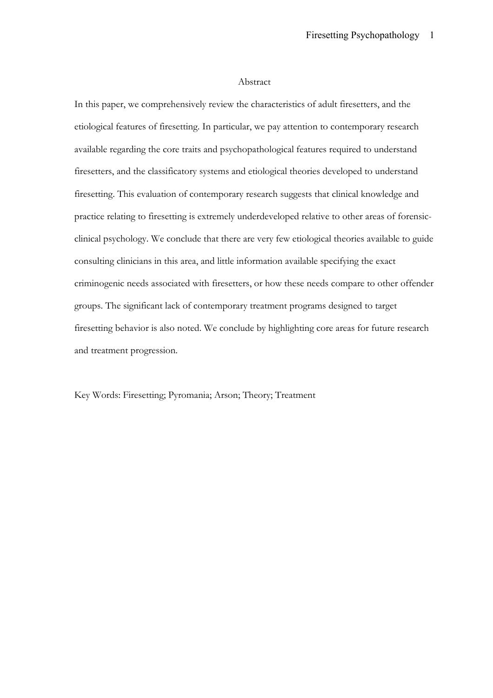#### Abstract

In this paper, we comprehensively review the characteristics of adult firesetters, and the etiological features of firesetting. In particular, we pay attention to contemporary research available regarding the core traits and psychopathological features required to understand firesetters, and the classificatory systems and etiological theories developed to understand firesetting. This evaluation of contemporary research suggests that clinical knowledge and practice relating to firesetting is extremely underdeveloped relative to other areas of forensicclinical psychology. We conclude that there are very few etiological theories available to guide consulting clinicians in this area, and little information available specifying the exact criminogenic needs associated with firesetters, or how these needs compare to other offender groups. The significant lack of contemporary treatment programs designed to target firesetting behavior is also noted. We conclude by highlighting core areas for future research and treatment progression.

Key Words: Firesetting; Pyromania; Arson; Theory; Treatment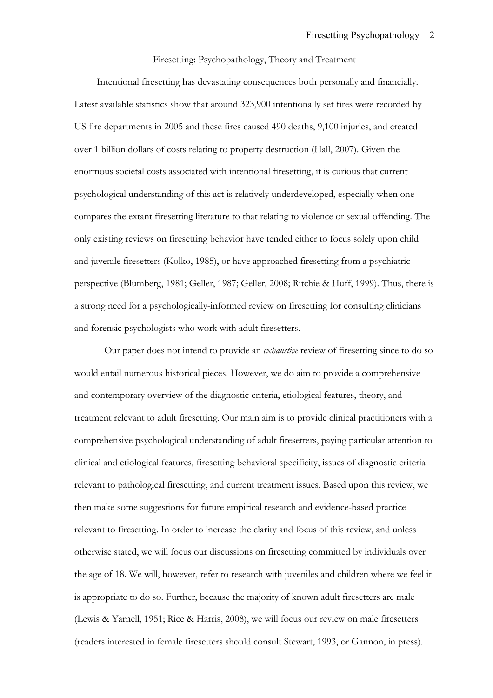Firesetting: Psychopathology, Theory and Treatment

Intentional firesetting has devastating consequences both personally and financially. Latest available statistics show that around 323,900 intentionally set fires were recorded by US fire departments in 2005 and these fires caused 490 deaths, 9,100 injuries, and created over 1 billion dollars of costs relating to property destruction (Hall, 2007). Given the enormous societal costs associated with intentional firesetting, it is curious that current psychological understanding of this act is relatively underdeveloped, especially when one compares the extant firesetting literature to that relating to violence or sexual offending. The only existing reviews on firesetting behavior have tended either to focus solely upon child and juvenile firesetters (Kolko, 1985), or have approached firesetting from a psychiatric perspective (Blumberg, 1981; Geller, 1987; Geller, 2008; Ritchie & Huff, 1999). Thus, there is a strong need for a psychologically-informed review on firesetting for consulting clinicians and forensic psychologists who work with adult firesetters.

Our paper does not intend to provide an *exhaustive* review of firesetting since to do so would entail numerous historical pieces. However, we do aim to provide a comprehensive and contemporary overview of the diagnostic criteria, etiological features, theory, and treatment relevant to adult firesetting. Our main aim is to provide clinical practitioners with a comprehensive psychological understanding of adult firesetters, paying particular attention to clinical and etiological features, firesetting behavioral specificity, issues of diagnostic criteria relevant to pathological firesetting, and current treatment issues. Based upon this review, we then make some suggestions for future empirical research and evidence-based practice relevant to firesetting. In order to increase the clarity and focus of this review, and unless otherwise stated, we will focus our discussions on firesetting committed by individuals over the age of 18. We will, however, refer to research with juveniles and children where we feel it is appropriate to do so. Further, because the majority of known adult firesetters are male (Lewis & Yarnell, 1951; Rice & Harris, 2008), we will focus our review on male firesetters (readers interested in female firesetters should consult Stewart, 1993, or Gannon, in press).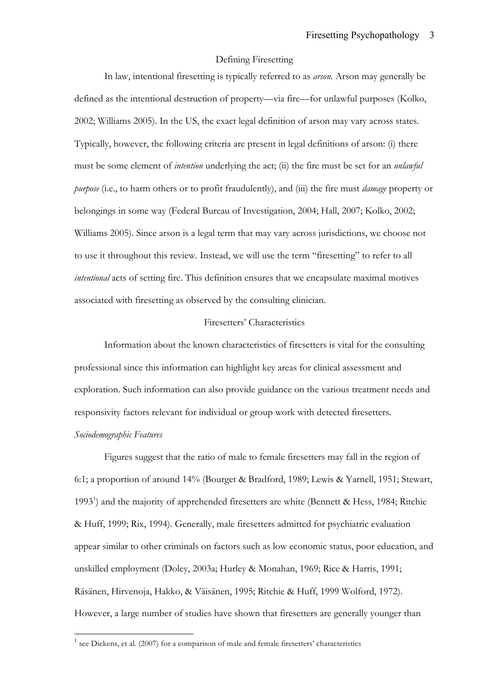#### Defining Firesetting

In law, intentional firesetting is typically referred to as *arson*. Arson may generally be defined as the intentional destruction of property—via fire—for unlawful purposes (Kolko, 2002; Williams 2005). In the US, the exact legal definition of arson may vary across states. Typically, however, the following criteria are present in legal definitions of arson: (i) there must be some element of *intention* underlying the act; (ii) the fire must be set for an *unlawful purpose* (i.e., to harm others or to profit fraudulently), and (iii) the fire must *damage* property or belongings in some way (Federal Bureau of Investigation, 2004; Hall, 2007; Kolko, 2002; Williams 2005). Since arson is a legal term that may vary across jurisdictions, we choose not to use it throughout this review. Instead, we will use the term "firesetting" to refer to all *intentional* acts of setting fire. This definition ensures that we encapsulate maximal motives associated with firesetting as observed by the consulting clinician.

#### Firesetters' Characteristics

Information about the known characteristics of firesetters is vital for the consulting professional since this information can highlight key areas for clinical assessment and exploration. Such information can also provide guidance on the various treatment needs and responsivity factors relevant for individual or group work with detected firesetters. *Sociodemographic Features*

Figures suggest that the ratio of male to female firesetters may fall in the region of 6:1; a proportion of around 14% (Bourget & Bradford, 1989; Lewis & Yarnell, 1951; Stewart, 1993<sup>1</sup>) and the majority of apprehended firesetters are white (Bennett & Hess, 1984; Ritchie & Huff, 1999; Rix, 1994). Generally, male firesetters admitted for psychiatric evaluation appear similar to other criminals on factors such as low economic status, poor education, and unskilled employment (Doley, 2003a; Hurley & Monahan, 1969; Rice & Harris, 1991; Räsänen, Hirvenoja, Hakko, & Väisänen, 1995; Ritchie & Huff, 1999 Wolford, 1972). However, a large number of studies have shown that firesetters are generally younger than

 $\overline{a}$ 

 $<sup>1</sup>$  see Dickens, et al. (2007) for a comparison of male and female firesetters' characteristics</sup>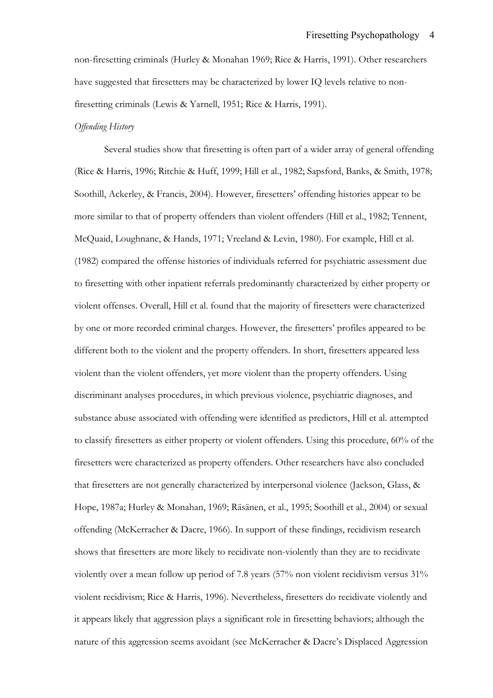non-firesetting criminals (Hurley & Monahan 1969; Rice & Harris, 1991). Other researchers have suggested that firesetters may be characterized by lower IQ levels relative to nonfiresetting criminals (Lewis & Yarnell, 1951; Rice & Harris, 1991).

#### *Offending History*

Several studies show that firesetting is often part of a wider array of general offending (Rice & Harris, 1996; Ritchie & Huff, 1999; Hill et al., 1982; Sapsford, Banks, & Smith, 1978; Soothill, Ackerley, & Francis, 2004). However, firesetters' offending histories appear to be more similar to that of property offenders than violent offenders (Hill et al., 1982; Tennent, McQuaid, Loughnane, & Hands, 1971; Vreeland & Levin, 1980). For example, Hill et al. (1982) compared the offense histories of individuals referred for psychiatric assessment due to firesetting with other inpatient referrals predominantly characterized by either property or violent offenses. Overall, Hill et al. found that the majority of firesetters were characterized by one or more recorded criminal charges. However, the firesetters' profiles appeared to be different both to the violent and the property offenders. In short, firesetters appeared less violent than the violent offenders, yet more violent than the property offenders. Using discriminant analyses procedures, in which previous violence, psychiatric diagnoses, and substance abuse associated with offending were identified as predictors, Hill et al. attempted to classify firesetters as either property or violent offenders. Using this procedure, 60% of the firesetters were characterized as property offenders. Other researchers have also concluded that firesetters are not generally characterized by interpersonal violence (Jackson, Glass, & Hope, 1987a; Hurley & Monahan, 1969; Räsänen, et al., 1995; Soothill et al., 2004) or sexual offending (McKerracher & Dacre, 1966). In support of these findings, recidivism research shows that firesetters are more likely to recidivate non-violently than they are to recidivate violently over a mean follow up period of 7.8 years (57% non violent recidivism versus 31% violent recidivism; Rice & Harris, 1996). Nevertheless, firesetters do recidivate violently and it appears likely that aggression plays a significant role in firesetting behaviors; although the nature of this aggression seems avoidant (see McKerracher & Dacre's Displaced Aggression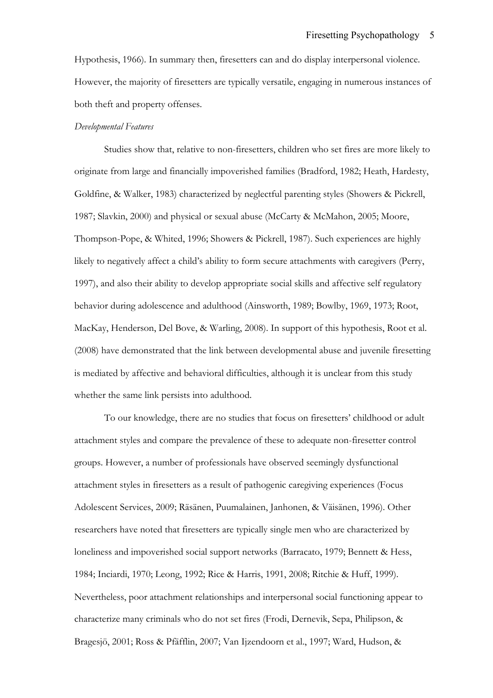Hypothesis, 1966). In summary then, firesetters can and do display interpersonal violence. However, the majority of firesetters are typically versatile, engaging in numerous instances of both theft and property offenses.

#### *Developmental Features*

Studies show that, relative to non-firesetters, children who set fires are more likely to originate from large and financially impoverished families (Bradford, 1982; Heath, Hardesty, Goldfine, & Walker, 1983) characterized by neglectful parenting styles (Showers & Pickrell, 1987; Slavkin, 2000) and physical or sexual abuse (McCarty & McMahon, 2005; Moore, Thompson-Pope, & Whited, 1996; Showers & Pickrell, 1987). Such experiences are highly likely to negatively affect a child's ability to form secure attachments with caregivers (Perry, 1997), and also their ability to develop appropriate social skills and affective self regulatory behavior during adolescence and adulthood (Ainsworth, 1989; Bowlby, 1969, 1973; Root, MacKay, Henderson, Del Bove, & Warling, 2008). In support of this hypothesis, Root et al. (2008) have demonstrated that the link between developmental abuse and juvenile firesetting is mediated by affective and behavioral difficulties, although it is unclear from this study whether the same link persists into adulthood.

To our knowledge, there are no studies that focus on firesetters' childhood or adult attachment styles and compare the prevalence of these to adequate non-firesetter control groups. However, a number of professionals have observed seemingly dysfunctional attachment styles in firesetters as a result of pathogenic caregiving experiences (Focus Adolescent Services, 2009; Räsänen, Puumalainen, Janhonen, & Väisänen, 1996). Other researchers have noted that firesetters are typically single men who are characterized by loneliness and impoverished social support networks (Barracato, 1979; Bennett & Hess, 1984; Inciardi, 1970; Leong, 1992; Rice & Harris, 1991, 2008; Ritchie & Huff, 1999). Nevertheless, poor attachment relationships and interpersonal social functioning appear to characterize many criminals who do not set fires (Frodi, Dernevik, Sepa, Philipson, & Bragesjö, 2001; Ross & Pfäfflin, 2007; Van Ijzendoorn et al., 1997; Ward, Hudson, &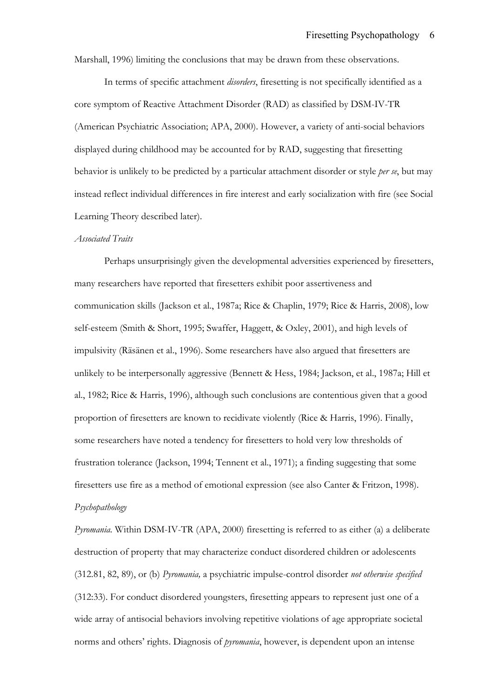Marshall, 1996) limiting the conclusions that may be drawn from these observations.

In terms of specific attachment *disorders*, firesetting is not specifically identified as a core symptom of Reactive Attachment Disorder (RAD) as classified by DSM-IV-TR (American Psychiatric Association; APA, 2000). However, a variety of anti-social behaviors displayed during childhood may be accounted for by RAD, suggesting that firesetting behavior is unlikely to be predicted by a particular attachment disorder or style *per se*, but may instead reflect individual differences in fire interest and early socialization with fire (see Social Learning Theory described later).

#### *Associated Traits*

Perhaps unsurprisingly given the developmental adversities experienced by firesetters, many researchers have reported that firesetters exhibit poor assertiveness and communication skills (Jackson et al., 1987a; Rice & Chaplin, 1979; Rice & Harris, 2008), low self-esteem (Smith & Short, 1995; Swaffer, Haggett, & Oxley, 2001), and high levels of impulsivity (Räsänen et al., 1996). Some researchers have also argued that firesetters are unlikely to be interpersonally aggressive (Bennett & Hess, 1984; Jackson, et al., 1987a; Hill et al., 1982; Rice & Harris, 1996), although such conclusions are contentious given that a good proportion of firesetters are known to recidivate violently (Rice & Harris, 1996). Finally, some researchers have noted a tendency for firesetters to hold very low thresholds of frustration tolerance (Jackson, 1994; Tennent et al., 1971); a finding suggesting that some firesetters use fire as a method of emotional expression (see also Canter & Fritzon, 1998). *Psychopathology*

*Pyromania.* Within DSM-IV-TR (APA, 2000) firesetting is referred to as either (a) a deliberate destruction of property that may characterize conduct disordered children or adolescents (312.81, 82, 89), or (b) *Pyromania,* a psychiatric impulse-control disorder *not otherwise specified*  (312:33). For conduct disordered youngsters, firesetting appears to represent just one of a wide array of antisocial behaviors involving repetitive violations of age appropriate societal norms and others' rights. Diagnosis of *pyromania*, however, is dependent upon an intense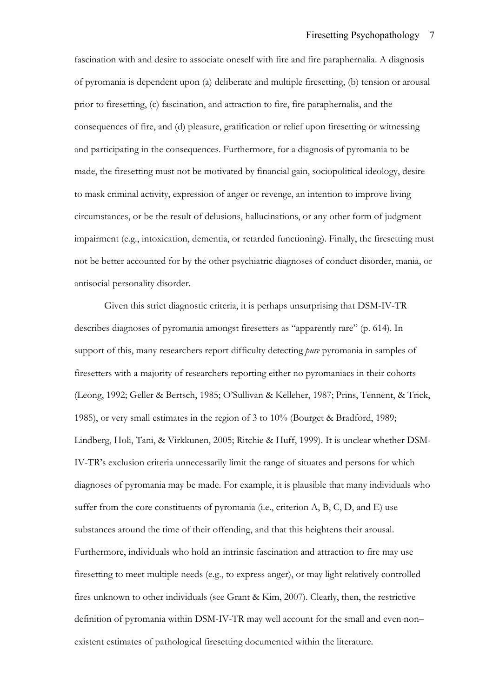fascination with and desire to associate oneself with fire and fire paraphernalia. A diagnosis of pyromania is dependent upon (a) deliberate and multiple firesetting, (b) tension or arousal prior to firesetting, (c) fascination, and attraction to fire, fire paraphernalia, and the consequences of fire, and (d) pleasure, gratification or relief upon firesetting or witnessing and participating in the consequences. Furthermore, for a diagnosis of pyromania to be made, the firesetting must not be motivated by financial gain, sociopolitical ideology, desire to mask criminal activity, expression of anger or revenge, an intention to improve living circumstances, or be the result of delusions, hallucinations, or any other form of judgment impairment (e.g., intoxication, dementia, or retarded functioning). Finally, the firesetting must not be better accounted for by the other psychiatric diagnoses of conduct disorder, mania, or antisocial personality disorder.

Given this strict diagnostic criteria, it is perhaps unsurprising that DSM-IV-TR describes diagnoses of pyromania amongst firesetters as "apparently rare" (p. 614). In support of this, many researchers report difficulty detecting *pure* pyromania in samples of firesetters with a majority of researchers reporting either no pyromaniacs in their cohorts (Leong, 1992; Geller & Bertsch, 1985; O'Sullivan & Kelleher, 1987; Prins, Tennent, & Trick, 1985), or very small estimates in the region of 3 to 10% (Bourget & Bradford, 1989; Lindberg, Holi, Tani, & Virkkunen, 2005; Ritchie & Huff, 1999). It is unclear whether DSM-IV-TR's exclusion criteria unnecessarily limit the range of situates and persons for which diagnoses of pyromania may be made. For example, it is plausible that many individuals who suffer from the core constituents of pyromania (i.e., criterion A, B, C, D, and E) use substances around the time of their offending, and that this heightens their arousal. Furthermore, individuals who hold an intrinsic fascination and attraction to fire may use firesetting to meet multiple needs (e.g., to express anger), or may light relatively controlled fires unknown to other individuals (see Grant & Kim, 2007). Clearly, then, the restrictive definition of pyromania within DSM-IV-TR may well account for the small and even non– existent estimates of pathological firesetting documented within the literature.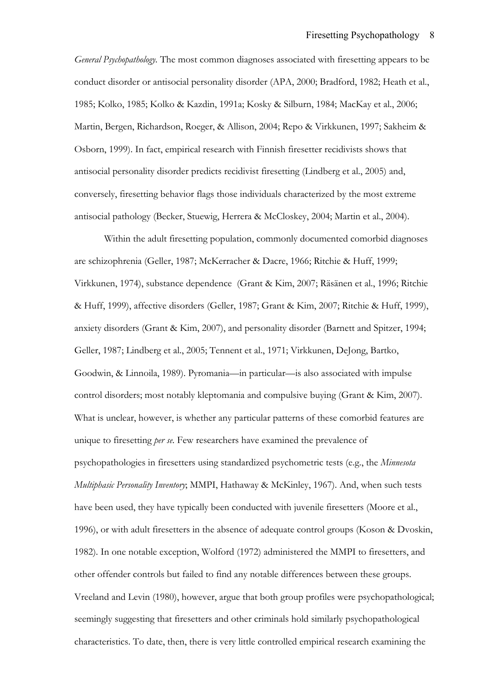*General Psychopathology.* The most common diagnoses associated with firesetting appears to be conduct disorder or antisocial personality disorder (APA, 2000; Bradford, 1982; Heath et al., 1985; Kolko, 1985; Kolko & Kazdin, 1991a; Kosky & Silburn, 1984; MacKay et al., 2006; Martin, Bergen, Richardson, Roeger, & Allison, 2004; Repo & Virkkunen, 1997; Sakheim & Osborn, 1999). In fact, empirical research with Finnish firesetter recidivists shows that antisocial personality disorder predicts recidivist firesetting (Lindberg et al., 2005) and, conversely, firesetting behavior flags those individuals characterized by the most extreme antisocial pathology (Becker, Stuewig, Herrera & McCloskey, 2004; Martin et al., 2004).

Within the adult firesetting population, commonly documented comorbid diagnoses are schizophrenia (Geller, 1987; McKerracher & Dacre, 1966; Ritchie & Huff, 1999; Virkkunen, 1974), substance dependence (Grant & Kim, 2007; Räsänen et al., 1996; Ritchie & Huff, 1999), affective disorders (Geller, 1987; Grant & Kim, 2007; Ritchie & Huff, 1999), anxiety disorders (Grant & Kim, 2007), and personality disorder (Barnett and Spitzer, 1994; Geller, 1987; Lindberg et al., 2005; Tennent et al., 1971; Virkkunen, DeJong, Bartko, Goodwin, & Linnoila, 1989). Pyromania—in particular—is also associated with impulse control disorders; most notably kleptomania and compulsive buying (Grant & Kim, 2007). What is unclear, however, is whether any particular patterns of these comorbid features are unique to firesetting *per se*. Few researchers have examined the prevalence of psychopathologies in firesetters using standardized psychometric tests (e.g., the *Minnesota Multiphasic Personality Inventory*; MMPI, Hathaway & McKinley, 1967). And, when such tests have been used, they have typically been conducted with juvenile firesetters (Moore et al., 1996), or with adult firesetters in the absence of adequate control groups (Koson & Dvoskin, 1982). In one notable exception, Wolford (1972) administered the MMPI to firesetters, and other offender controls but failed to find any notable differences between these groups. Vreeland and Levin (1980), however, argue that both group profiles were psychopathological; seemingly suggesting that firesetters and other criminals hold similarly psychopathological characteristics. To date, then, there is very little controlled empirical research examining the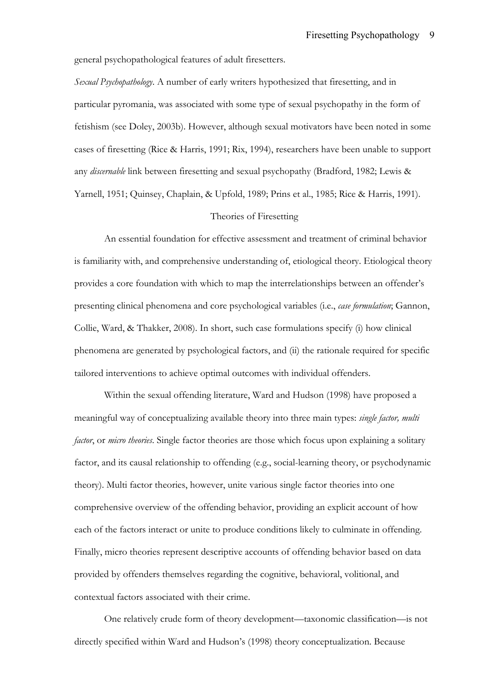general psychopathological features of adult firesetters.

*Sexual Psychopathology*. A number of early writers hypothesized that firesetting, and in particular pyromania, was associated with some type of sexual psychopathy in the form of fetishism (see Doley, 2003b). However, although sexual motivators have been noted in some cases of firesetting (Rice & Harris, 1991; Rix, 1994), researchers have been unable to support any *discernable* link between firesetting and sexual psychopathy (Bradford, 1982; Lewis & Yarnell, 1951; Quinsey, Chaplain, & Upfold, 1989; Prins et al., 1985; Rice & Harris, 1991).

#### Theories of Firesetting

An essential foundation for effective assessment and treatment of criminal behavior is familiarity with, and comprehensive understanding of, etiological theory. Etiological theory provides a core foundation with which to map the interrelationships between an offender's presenting clinical phenomena and core psychological variables (i.e., *case formulation*; Gannon, Collie, Ward, & Thakker, 2008). In short, such case formulations specify (i) how clinical phenomena are generated by psychological factors, and (ii) the rationale required for specific tailored interventions to achieve optimal outcomes with individual offenders.

Within the sexual offending literature, Ward and Hudson (1998) have proposed a meaningful way of conceptualizing available theory into three main types: *single factor, multi factor*, or *micro theories*. Single factor theories are those which focus upon explaining a solitary factor, and its causal relationship to offending (e.g., social-learning theory, or psychodynamic theory). Multi factor theories, however, unite various single factor theories into one comprehensive overview of the offending behavior, providing an explicit account of how each of the factors interact or unite to produce conditions likely to culminate in offending. Finally, micro theories represent descriptive accounts of offending behavior based on data provided by offenders themselves regarding the cognitive, behavioral, volitional, and contextual factors associated with their crime.

One relatively crude form of theory development—taxonomic classification—is not directly specified within Ward and Hudson's (1998) theory conceptualization. Because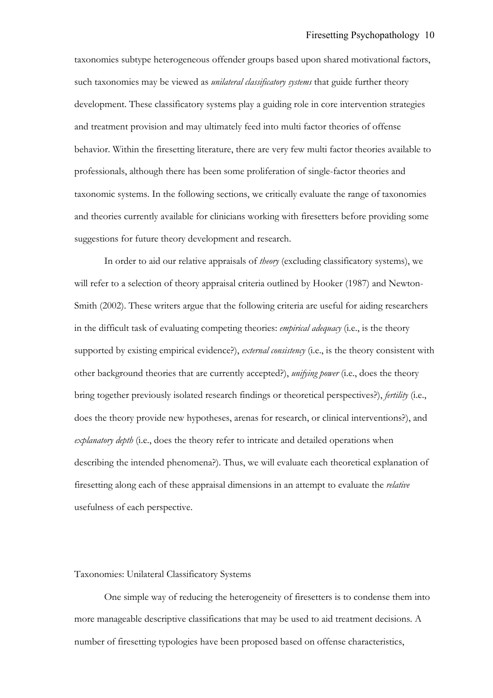taxonomies subtype heterogeneous offender groups based upon shared motivational factors, such taxonomies may be viewed as *unilateral classificatory systems* that guide further theory development. These classificatory systems play a guiding role in core intervention strategies and treatment provision and may ultimately feed into multi factor theories of offense behavior. Within the firesetting literature, there are very few multi factor theories available to professionals, although there has been some proliferation of single-factor theories and taxonomic systems. In the following sections, we critically evaluate the range of taxonomies and theories currently available for clinicians working with firesetters before providing some suggestions for future theory development and research.

In order to aid our relative appraisals of *theory* (excluding classificatory systems), we will refer to a selection of theory appraisal criteria outlined by Hooker (1987) and Newton-Smith (2002). These writers argue that the following criteria are useful for aiding researchers in the difficult task of evaluating competing theories: *empirical adequacy* (i.e., is the theory supported by existing empirical evidence?), *external consistency* (i.e., is the theory consistent with other background theories that are currently accepted?), *unifying power* (i.e., does the theory bring together previously isolated research findings or theoretical perspectives?), *fertility* (i.e., does the theory provide new hypotheses, arenas for research, or clinical interventions?), and *explanatory depth* (i.e., does the theory refer to intricate and detailed operations when describing the intended phenomena?). Thus, we will evaluate each theoretical explanation of firesetting along each of these appraisal dimensions in an attempt to evaluate the *relative* usefulness of each perspective.

#### Taxonomies: Unilateral Classificatory Systems

One simple way of reducing the heterogeneity of firesetters is to condense them into more manageable descriptive classifications that may be used to aid treatment decisions. A number of firesetting typologies have been proposed based on offense characteristics,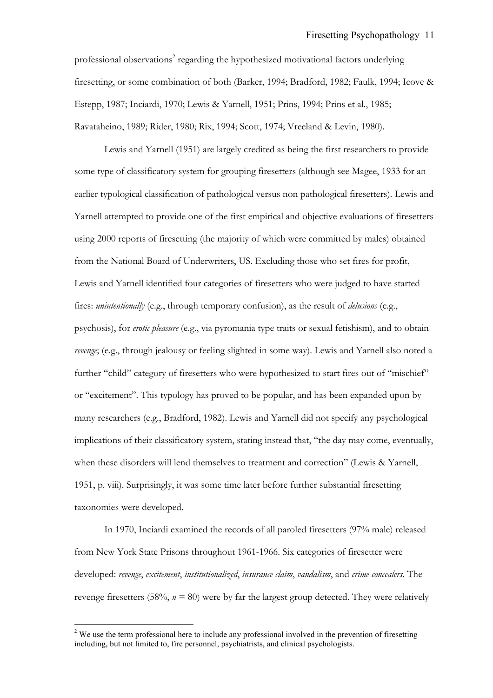professional observations<sup>2</sup> regarding the hypothesized motivational factors underlying firesetting, or some combination of both (Barker, 1994; Bradford, 1982; Faulk, 1994; Icove & Estepp, 1987; Inciardi, 1970; Lewis & Yarnell, 1951; Prins, 1994; Prins et al., 1985; Ravataheino, 1989; Rider, 1980; Rix, 1994; Scott, 1974; Vreeland & Levin, 1980).

Lewis and Yarnell (1951) are largely credited as being the first researchers to provide some type of classificatory system for grouping firesetters (although see Magee, 1933 for an earlier typological classification of pathological versus non pathological firesetters). Lewis and Yarnell attempted to provide one of the first empirical and objective evaluations of firesetters using 2000 reports of firesetting (the majority of which were committed by males) obtained from the National Board of Underwriters, US. Excluding those who set fires for profit, Lewis and Yarnell identified four categories of firesetters who were judged to have started fires: *unintentionally* (e.g., through temporary confusion), as the result of *delusions* (e.g., psychosis), for *erotic pleasure* (e.g., via pyromania type traits or sexual fetishism), and to obtain *revenge*; (e.g., through jealousy or feeling slighted in some way). Lewis and Yarnell also noted a further "child" category of firesetters who were hypothesized to start fires out of "mischief" or "excitement". This typology has proved to be popular, and has been expanded upon by many researchers (e.g., Bradford, 1982). Lewis and Yarnell did not specify any psychological implications of their classificatory system, stating instead that, "the day may come, eventually, when these disorders will lend themselves to treatment and correction" (Lewis & Yarnell, 1951, p. viii). Surprisingly, it was some time later before further substantial firesetting taxonomies were developed.

In 1970, Inciardi examined the records of all paroled firesetters (97% male) released from New York State Prisons throughout 1961-1966. Six categories of firesetter were developed: *revenge*, *excitement*, *institutionalized*, *insurance claim*, *vandalism*, and *crime concealers.* The revenge firesetters (58%,  $n = 80$ ) were by far the largest group detected. They were relatively

 $\overline{a}$ 

 $2$  We use the term professional here to include any professional involved in the prevention of firesetting including, but not limited to, fire personnel, psychiatrists, and clinical psychologists.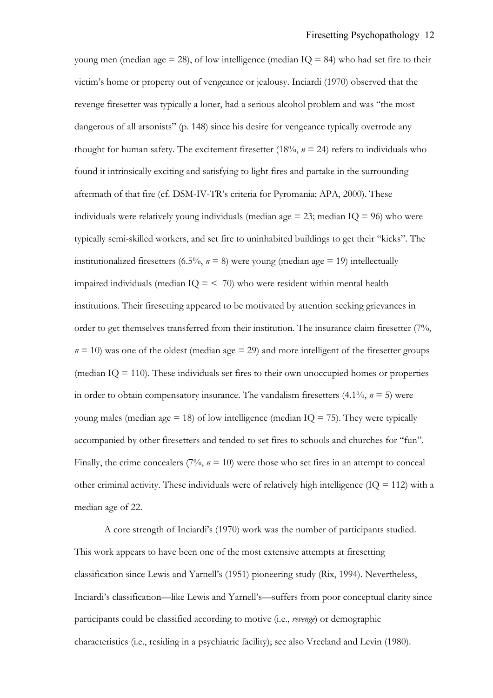young men (median age  $= 28$ ), of low intelligence (median IQ  $= 84$ ) who had set fire to their victim's home or property out of vengeance or jealousy. Inciardi (1970) observed that the revenge firesetter was typically a loner, had a serious alcohol problem and was "the most dangerous of all arsonists" (p. 148) since his desire for vengeance typically overrode any thought for human safety. The excitement firesetter  $(18\%, n = 24)$  refers to individuals who found it intrinsically exciting and satisfying to light fires and partake in the surrounding aftermath of that fire (cf. DSM-IV-TR's criteria for Pyromania; APA, 2000). These individuals were relatively young individuals (median age  $= 23$ ; median IQ  $= 96$ ) who were typically semi-skilled workers, and set fire to uninhabited buildings to get their "kicks". The institutionalized firesetters  $(6.5\%, n=8)$  were young (median age = 19) intellectually impaired individuals (median  $IQ = \langle 70 \rangle$  who were resident within mental health institutions. Their firesetting appeared to be motivated by attention seeking grievances in order to get themselves transferred from their institution. The insurance claim firesetter (7%,  $n = 10$ ) was one of the oldest (median age  $= 29$ ) and more intelligent of the firesetter groups (median  $IQ = 110$ ). These individuals set fires to their own unoccupied homes or properties in order to obtain compensatory insurance. The vandalism firesetters  $(4.1\%, n = 5)$  were young males (median age  $= 18$ ) of low intelligence (median IQ  $= 75$ ). They were typically accompanied by other firesetters and tended to set fires to schools and churches for "fun". Finally, the crime concealers  $(7\%, n = 10)$  were those who set fires in an attempt to conceal other criminal activity. These individuals were of relatively high intelligence  $(IQ = 112)$  with a median age of 22.

A core strength of Inciardi's (1970) work was the number of participants studied. This work appears to have been one of the most extensive attempts at firesetting classification since Lewis and Yarnell's (1951) pioneering study (Rix, 1994). Nevertheless, Inciardi's classification—like Lewis and Yarnell's—suffers from poor conceptual clarity since participants could be classified according to motive (i.e., *revenge*) or demographic characteristics (i.e., residing in a psychiatric facility); see also Vreeland and Levin (1980).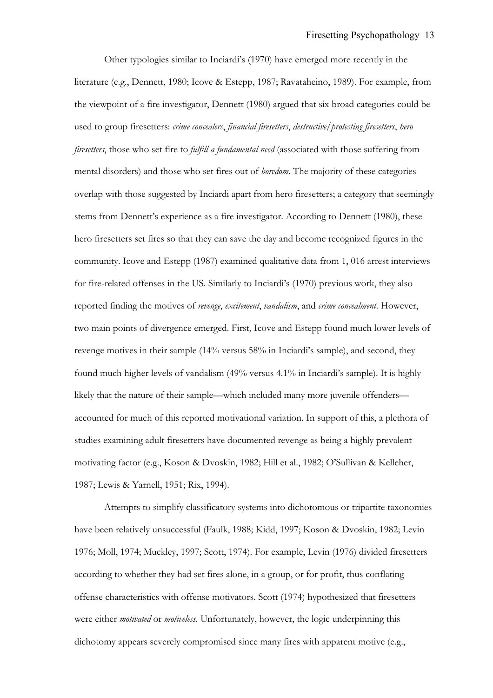Other typologies similar to Inciardi's (1970) have emerged more recently in the literature (e.g., Dennett, 1980; Icove & Estepp, 1987; Ravataheino, 1989). For example, from the viewpoint of a fire investigator, Dennett (1980) argued that six broad categories could be used to group firesetters: *crime concealers*, *financial firesetters*, *destructive/protesting firesetters*, *hero firesetters*, those who set fire to *fulfill a fundamental need* (associated with those suffering from mental disorders) and those who set fires out of *boredom*. The majority of these categories overlap with those suggested by Inciardi apart from hero firesetters; a category that seemingly stems from Dennett's experience as a fire investigator. According to Dennett (1980), these hero firesetters set fires so that they can save the day and become recognized figures in the community. Icove and Estepp (1987) examined qualitative data from 1, 016 arrest interviews for fire-related offenses in the US. Similarly to Inciardi's (1970) previous work, they also reported finding the motives of *revenge*, *excitement*, *vandalism*, and *crime concealment*. However, two main points of divergence emerged. First, Icove and Estepp found much lower levels of revenge motives in their sample (14% versus 58% in Inciardi's sample), and second, they found much higher levels of vandalism (49% versus 4.1% in Inciardi's sample). It is highly likely that the nature of their sample—which included many more juvenile offenders accounted for much of this reported motivational variation. In support of this, a plethora of studies examining adult firesetters have documented revenge as being a highly prevalent motivating factor (e.g., Koson & Dvoskin, 1982; Hill et al., 1982; O'Sullivan & Kelleher, 1987; Lewis & Yarnell, 1951; Rix, 1994).

Attempts to simplify classificatory systems into dichotomous or tripartite taxonomies have been relatively unsuccessful (Faulk, 1988; Kidd, 1997; Koson & Dvoskin, 1982; Levin 1976; Moll, 1974; Muckley, 1997; Scott, 1974). For example, Levin (1976) divided firesetters according to whether they had set fires alone, in a group, or for profit, thus conflating offense characteristics with offense motivators. Scott (1974) hypothesized that firesetters were either *motivated* or *motiveless.* Unfortunately, however, the logic underpinning this dichotomy appears severely compromised since many fires with apparent motive (e.g.,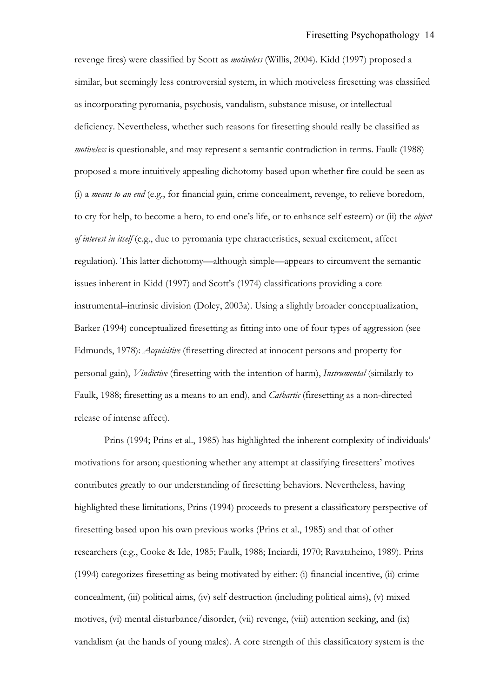revenge fires) were classified by Scott as *motiveless* (Willis, 2004). Kidd (1997) proposed a similar, but seemingly less controversial system, in which motiveless firesetting was classified as incorporating pyromania, psychosis, vandalism, substance misuse, or intellectual deficiency. Nevertheless, whether such reasons for firesetting should really be classified as *motiveless* is questionable, and may represent a semantic contradiction in terms. Faulk (1988) proposed a more intuitively appealing dichotomy based upon whether fire could be seen as (i) a *means to an end* (e.g., for financial gain, crime concealment, revenge, to relieve boredom, to cry for help, to become a hero, to end one's life, or to enhance self esteem) or (ii) the *object of interest in itself* (e.g., due to pyromania type characteristics, sexual excitement, affect regulation). This latter dichotomy—although simple—appears to circumvent the semantic issues inherent in Kidd (1997) and Scott's (1974) classifications providing a core instrumental–intrinsic division (Doley, 2003a). Using a slightly broader conceptualization, Barker (1994) conceptualized firesetting as fitting into one of four types of aggression (see Edmunds, 1978): *Acquisitive* (firesetting directed at innocent persons and property for personal gain), *Vindictive* (firesetting with the intention of harm), *Instrumental* (similarly to Faulk, 1988; firesetting as a means to an end), and *Cathartic* (firesetting as a non-directed release of intense affect).

Prins (1994; Prins et al., 1985) has highlighted the inherent complexity of individuals' motivations for arson; questioning whether any attempt at classifying firesetters' motives contributes greatly to our understanding of firesetting behaviors. Nevertheless, having highlighted these limitations, Prins (1994) proceeds to present a classificatory perspective of firesetting based upon his own previous works (Prins et al., 1985) and that of other researchers (e.g., Cooke & Ide, 1985; Faulk, 1988; Inciardi, 1970; Ravataheino, 1989). Prins (1994) categorizes firesetting as being motivated by either: (i) financial incentive, (ii) crime concealment, (iii) political aims, (iv) self destruction (including political aims), (v) mixed motives, (vi) mental disturbance/disorder, (vii) revenge, (viii) attention seeking, and (ix) vandalism (at the hands of young males). A core strength of this classificatory system is the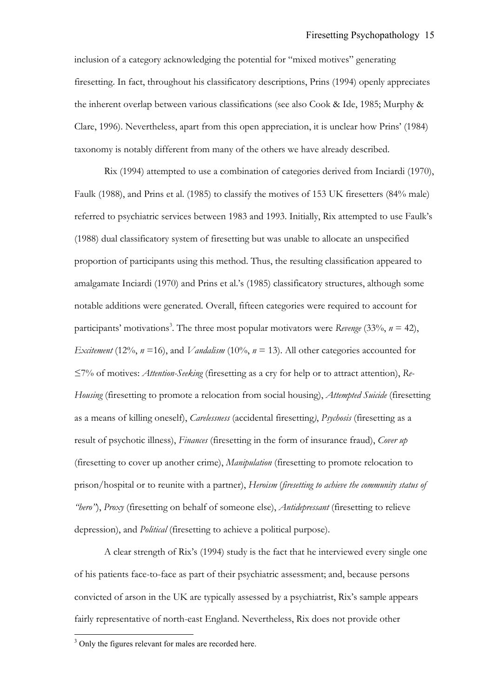inclusion of a category acknowledging the potential for "mixed motives" generating firesetting. In fact, throughout his classificatory descriptions, Prins (1994) openly appreciates the inherent overlap between various classifications (see also Cook & Ide, 1985; Murphy & Clare, 1996). Nevertheless, apart from this open appreciation, it is unclear how Prins' (1984) taxonomy is notably different from many of the others we have already described.

Rix (1994) attempted to use a combination of categories derived from Inciardi (1970), Faulk (1988), and Prins et al. (1985) to classify the motives of 153 UK firesetters (84% male) referred to psychiatric services between 1983 and 1993. Initially, Rix attempted to use Faulk's (1988) dual classificatory system of firesetting but was unable to allocate an unspecified proportion of participants using this method. Thus, the resulting classification appeared to amalgamate Inciardi (1970) and Prins et al.'s (1985) classificatory structures, although some notable additions were generated. Overall, fifteen categories were required to account for participants' motivations<sup>3</sup>. The three most popular motivators were *Revenge* (33%,  $n = 42$ ), *Excitement* (12%,  $n = 16$ ), and *Vandalism* (10%,  $n = 13$ ). All other categories accounted for ≤7% of motives: *Attention-Seeking* (firesetting as a cry for help or to attract attention), *Re-Housing* (firesetting to promote a relocation from social housing), *Attempted Suicide* (firesetting as a means of killing oneself), *Carelessness* (accidental firesetting*)*, *Psychosis* (firesetting as a result of psychotic illness), *Finances* (firesetting in the form of insurance fraud), *Cover up* (firesetting to cover up another crime), *Manipulation* (firesetting to promote relocation to prison/hospital or to reunite with a partner), *Heroism* (*firesetting to achieve the community status of "hero"*), *Proxy* (firesetting on behalf of someone else), *Antidepressant* (firesetting to relieve depression), and *Political* (firesetting to achieve a political purpose).

A clear strength of Rix's (1994) study is the fact that he interviewed every single one of his patients face-to-face as part of their psychiatric assessment; and, because persons convicted of arson in the UK are typically assessed by a psychiatrist, Rix's sample appears fairly representative of north-east England. Nevertheless, Rix does not provide other

 $\overline{a}$ 

 $3$  Only the figures relevant for males are recorded here.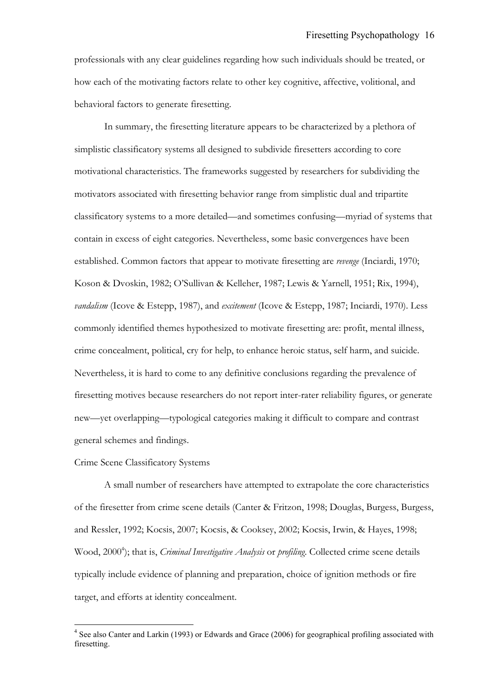professionals with any clear guidelines regarding how such individuals should be treated, or how each of the motivating factors relate to other key cognitive, affective, volitional, and behavioral factors to generate firesetting.

In summary, the firesetting literature appears to be characterized by a plethora of simplistic classificatory systems all designed to subdivide firesetters according to core motivational characteristics. The frameworks suggested by researchers for subdividing the motivators associated with firesetting behavior range from simplistic dual and tripartite classificatory systems to a more detailed—and sometimes confusing—myriad of systems that contain in excess of eight categories. Nevertheless, some basic convergences have been established. Common factors that appear to motivate firesetting are *revenge* (Inciardi, 1970; Koson & Dvoskin, 1982; O'Sullivan & Kelleher, 1987; Lewis & Yarnell, 1951; Rix, 1994), *vandalism* (Icove & Estepp, 1987), and *excitement* (Icove & Estepp, 1987; Inciardi, 1970). Less commonly identified themes hypothesized to motivate firesetting are: profit, mental illness, crime concealment, political, cry for help, to enhance heroic status, self harm, and suicide. Nevertheless, it is hard to come to any definitive conclusions regarding the prevalence of firesetting motives because researchers do not report inter-rater reliability figures, or generate new—yet overlapping—typological categories making it difficult to compare and contrast general schemes and findings.

#### Crime Scene Classificatory Systems

 $\overline{a}$ 

A small number of researchers have attempted to extrapolate the core characteristics of the firesetter from crime scene details (Canter & Fritzon, 1998; Douglas, Burgess, Burgess, and Ressler, 1992; Kocsis, 2007; Kocsis, & Cooksey, 2002; Kocsis, Irwin, & Hayes, 1998; Wood, 2000<sup>4</sup>); that is, *Criminal Investigative Analysis* or *profiling*. Collected crime scene details typically include evidence of planning and preparation, choice of ignition methods or fire target, and efforts at identity concealment.

<sup>&</sup>lt;sup>4</sup> See also Canter and Larkin (1993) or Edwards and Grace (2006) for geographical profiling associated with firesetting.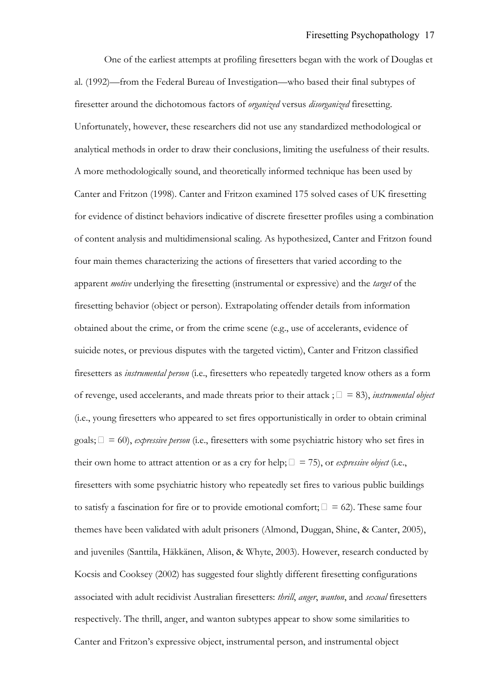One of the earliest attempts at profiling firesetters began with the work of Douglas et al. (1992)—from the Federal Bureau of Investigation—who based their final subtypes of firesetter around the dichotomous factors of *organized* versus *disorganized* firesetting. Unfortunately, however, these researchers did not use any standardized methodological or analytical methods in order to draw their conclusions, limiting the usefulness of their results. A more methodologically sound, and theoretically informed technique has been used by Canter and Fritzon (1998). Canter and Fritzon examined 175 solved cases of UK firesetting for evidence of distinct behaviors indicative of discrete firesetter profiles using a combination of content analysis and multidimensional scaling. As hypothesized, Canter and Fritzon found four main themes characterizing the actions of firesetters that varied according to the apparent *motive* underlying the firesetting (instrumental or expressive) and the *target* of the firesetting behavior (object or person). Extrapolating offender details from information obtained about the crime, or from the crime scene (e.g., use of accelerants, evidence of suicide notes, or previous disputes with the targeted victim), Canter and Fritzon classified firesetters as *instrumental person* (i.e., firesetters who repeatedly targeted know others as a form of revenge, used accelerants, and made threats prior to their attack ; = 83), *instrumental object* (i.e., young firesetters who appeared to set fires opportunistically in order to obtain criminal goals; = 60), *expressive person* (i.e., firesetters with some psychiatric history who set fires in their own home to attract attention or as a cry for help; = 75), or *expressive object* (i.e., firesetters with some psychiatric history who repeatedly set fires to various public buildings to satisfy a fascination for fire or to provide emotional comfort;  $= 62$ ). These same four themes have been validated with adult prisoners (Almond, Duggan, Shine, & Canter, 2005), and juveniles (Santtila, Häkkänen, Alison, & Whyte, 2003). However, research conducted by Kocsis and Cooksey (2002) has suggested four slightly different firesetting configurations associated with adult recidivist Australian firesetters: *thrill*, *anger*, *wanton*, and *sexual* firesetters respectively. The thrill, anger, and wanton subtypes appear to show some similarities to Canter and Fritzon's expressive object, instrumental person, and instrumental object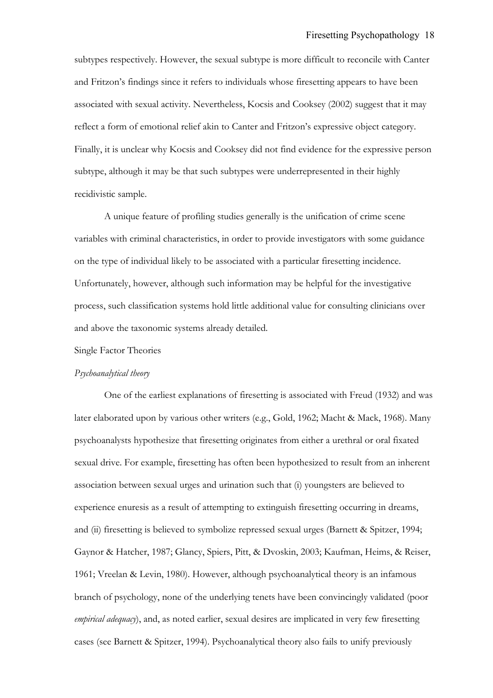subtypes respectively. However, the sexual subtype is more difficult to reconcile with Canter and Fritzon's findings since it refers to individuals whose firesetting appears to have been associated with sexual activity. Nevertheless, Kocsis and Cooksey (2002) suggest that it may reflect a form of emotional relief akin to Canter and Fritzon's expressive object category. Finally, it is unclear why Kocsis and Cooksey did not find evidence for the expressive person subtype, although it may be that such subtypes were underrepresented in their highly recidivistic sample.

A unique feature of profiling studies generally is the unification of crime scene variables with criminal characteristics, in order to provide investigators with some guidance on the type of individual likely to be associated with a particular firesetting incidence. Unfortunately, however, although such information may be helpful for the investigative process, such classification systems hold little additional value for consulting clinicians over and above the taxonomic systems already detailed.

#### Single Factor Theories

#### *Psychoanalytical theory*

One of the earliest explanations of firesetting is associated with Freud (1932) and was later elaborated upon by various other writers (e.g., Gold, 1962; Macht & Mack, 1968). Many psychoanalysts hypothesize that firesetting originates from either a urethral or oral fixated sexual drive. For example, firesetting has often been hypothesized to result from an inherent association between sexual urges and urination such that (i) youngsters are believed to experience enuresis as a result of attempting to extinguish firesetting occurring in dreams, and (ii) firesetting is believed to symbolize repressed sexual urges (Barnett & Spitzer, 1994; Gaynor & Hatcher, 1987; Glancy, Spiers, Pitt, & Dvoskin, 2003; Kaufman, Heims, & Reiser, 1961; Vreelan & Levin, 1980). However, although psychoanalytical theory is an infamous branch of psychology, none of the underlying tenets have been convincingly validated (poor *empirical adequacy*), and, as noted earlier, sexual desires are implicated in very few firesetting cases (see Barnett & Spitzer, 1994). Psychoanalytical theory also fails to unify previously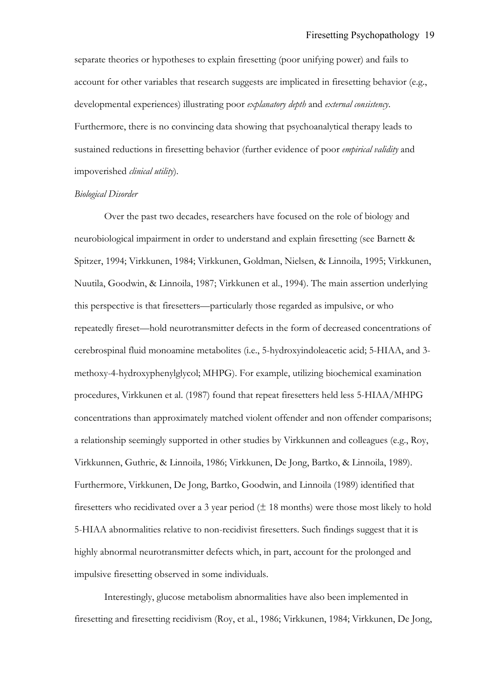separate theories or hypotheses to explain firesetting (poor unifying power) and fails to account for other variables that research suggests are implicated in firesetting behavior (e.g., developmental experiences) illustrating poor *explanatory depth* and *external consistency*. Furthermore, there is no convincing data showing that psychoanalytical therapy leads to sustained reductions in firesetting behavior (further evidence of poor *empirical validity* and impoverished *clinical utility*).

#### *Biological Disorder*

Over the past two decades, researchers have focused on the role of biology and neurobiological impairment in order to understand and explain firesetting (see Barnett & Spitzer, 1994; Virkkunen, 1984; Virkkunen, Goldman, Nielsen, & Linnoila, 1995; Virkkunen, Nuutila, Goodwin, & Linnoila, 1987; Virkkunen et al., 1994). The main assertion underlying this perspective is that firesetters—particularly those regarded as impulsive, or who repeatedly fireset—hold neurotransmitter defects in the form of decreased concentrations of cerebrospinal fluid monoamine metabolites (i.e., 5-hydroxyindoleacetic acid; 5-HIAA, and 3 methoxy-4-hydroxyphenylglycol; MHPG). For example, utilizing biochemical examination procedures, Virkkunen et al. (1987) found that repeat firesetters held less 5-HIAA/MHPG concentrations than approximately matched violent offender and non offender comparisons; a relationship seemingly supported in other studies by Virkkunnen and colleagues (e.g., Roy, Virkkunnen, Guthrie, & Linnoila, 1986; Virkkunen, De Jong, Bartko, & Linnoila, 1989). Furthermore, Virkkunen, De Jong, Bartko, Goodwin, and Linnoila (1989) identified that firesetters who recidivated over a 3 year period  $(\pm 18 \text{ months})$  were those most likely to hold 5-HIAA abnormalities relative to non-recidivist firesetters. Such findings suggest that it is highly abnormal neurotransmitter defects which, in part, account for the prolonged and impulsive firesetting observed in some individuals.

Interestingly, glucose metabolism abnormalities have also been implemented in firesetting and firesetting recidivism (Roy, et al., 1986; Virkkunen, 1984; Virkkunen, De Jong,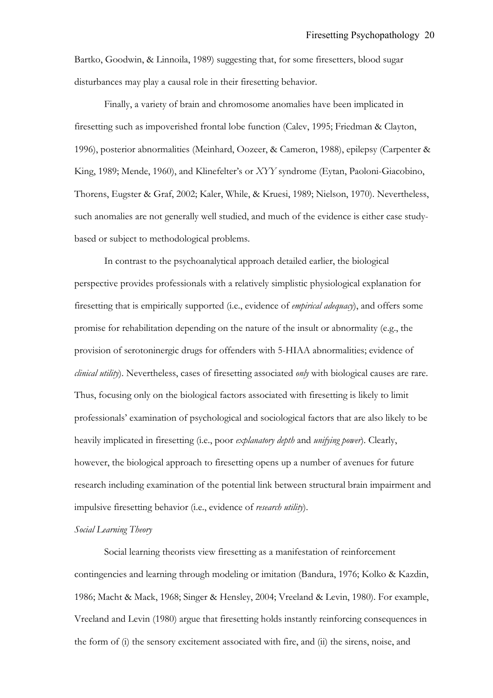Bartko, Goodwin, & Linnoila, 1989) suggesting that, for some firesetters, blood sugar disturbances may play a causal role in their firesetting behavior.

Finally, a variety of brain and chromosome anomalies have been implicated in firesetting such as impoverished frontal lobe function (Calev, 1995; Friedman & Clayton, 1996), posterior abnormalities (Meinhard, Oozeer, & Cameron, 1988), epilepsy (Carpenter & King, 1989; Mende, 1960), and Klinefelter's or *XYY* syndrome (Eytan, Paoloni-Giacobino, Thorens, Eugster & Graf, 2002; Kaler, While, & Kruesi, 1989; Nielson, 1970). Nevertheless, such anomalies are not generally well studied, and much of the evidence is either case studybased or subject to methodological problems.

In contrast to the psychoanalytical approach detailed earlier, the biological perspective provides professionals with a relatively simplistic physiological explanation for firesetting that is empirically supported (i.e., evidence of *empirical adequacy*), and offers some promise for rehabilitation depending on the nature of the insult or abnormality (e.g., the provision of serotoninergic drugs for offenders with 5-HIAA abnormalities; evidence of *clinical utility*). Nevertheless, cases of firesetting associated *only* with biological causes are rare. Thus, focusing only on the biological factors associated with firesetting is likely to limit professionals' examination of psychological and sociological factors that are also likely to be heavily implicated in firesetting (i.e., poor *explanatory depth* and *unifying power*). Clearly, however, the biological approach to firesetting opens up a number of avenues for future research including examination of the potential link between structural brain impairment and impulsive firesetting behavior (i.e., evidence of *research utility*).

#### *Social Learning Theory*

Social learning theorists view firesetting as a manifestation of reinforcement contingencies and learning through modeling or imitation (Bandura, 1976; Kolko & Kazdin, 1986; Macht & Mack, 1968; Singer & Hensley, 2004; Vreeland & Levin, 1980). For example, Vreeland and Levin (1980) argue that firesetting holds instantly reinforcing consequences in the form of (i) the sensory excitement associated with fire, and (ii) the sirens, noise, and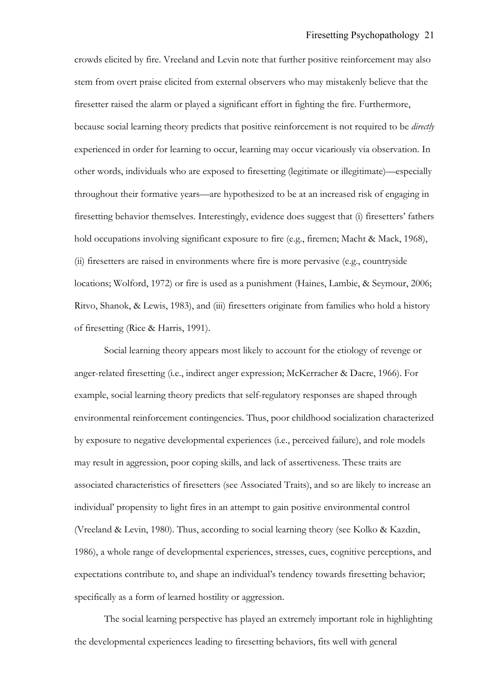crowds elicited by fire. Vreeland and Levin note that further positive reinforcement may also stem from overt praise elicited from external observers who may mistakenly believe that the firesetter raised the alarm or played a significant effort in fighting the fire. Furthermore, because social learning theory predicts that positive reinforcement is not required to be *directly* experienced in order for learning to occur, learning may occur vicariously via observation. In other words, individuals who are exposed to firesetting (legitimate or illegitimate)—especially throughout their formative years—are hypothesized to be at an increased risk of engaging in firesetting behavior themselves. Interestingly, evidence does suggest that (i) firesetters' fathers hold occupations involving significant exposure to fire (e.g., firemen; Macht & Mack, 1968), (ii) firesetters are raised in environments where fire is more pervasive (e.g., countryside locations; Wolford, 1972) or fire is used as a punishment (Haines, Lambie, & Seymour, 2006; Ritvo, Shanok, & Lewis, 1983), and (iii) firesetters originate from families who hold a history of firesetting (Rice & Harris, 1991).

Social learning theory appears most likely to account for the etiology of revenge or anger-related firesetting (i.e., indirect anger expression; McKerracher & Dacre, 1966). For example, social learning theory predicts that self-regulatory responses are shaped through environmental reinforcement contingencies. Thus, poor childhood socialization characterized by exposure to negative developmental experiences (i.e., perceived failure), and role models may result in aggression, poor coping skills, and lack of assertiveness. These traits are associated characteristics of firesetters (see Associated Traits), and so are likely to increase an individual' propensity to light fires in an attempt to gain positive environmental control (Vreeland & Levin, 1980). Thus, according to social learning theory (see Kolko & Kazdin, 1986), a whole range of developmental experiences, stresses, cues, cognitive perceptions, and expectations contribute to, and shape an individual's tendency towards firesetting behavior; specifically as a form of learned hostility or aggression.

The social learning perspective has played an extremely important role in highlighting the developmental experiences leading to firesetting behaviors, fits well with general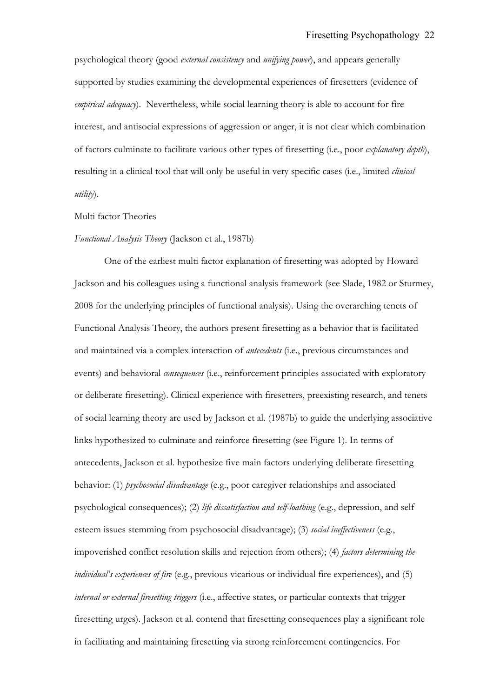psychological theory (good *external consistency* and *unifying power*), and appears generally supported by studies examining the developmental experiences of firesetters (evidence of *empirical adequacy*). Nevertheless, while social learning theory is able to account for fire interest, and antisocial expressions of aggression or anger, it is not clear which combination of factors culminate to facilitate various other types of firesetting (i.e., poor *explanatory depth*), resulting in a clinical tool that will only be useful in very specific cases (i.e., limited *clinical utility*).

#### Multi factor Theories

#### *Functional Analysis Theory* (Jackson et al., 1987b)

One of the earliest multi factor explanation of firesetting was adopted by Howard Jackson and his colleagues using a functional analysis framework (see Slade, 1982 or Sturmey, 2008 for the underlying principles of functional analysis). Using the overarching tenets of Functional Analysis Theory, the authors present firesetting as a behavior that is facilitated and maintained via a complex interaction of *antecedents* (i.e., previous circumstances and events) and behavioral *consequences* (i.e., reinforcement principles associated with exploratory or deliberate firesetting). Clinical experience with firesetters, preexisting research, and tenets of social learning theory are used by Jackson et al. (1987b) to guide the underlying associative links hypothesized to culminate and reinforce firesetting (see Figure 1). In terms of antecedents, Jackson et al. hypothesize five main factors underlying deliberate firesetting behavior: (1) *psychosocial disadvantage* (e.g., poor caregiver relationships and associated psychological consequences); (2) *life dissatisfaction and self-loathing* (e.g., depression, and self esteem issues stemming from psychosocial disadvantage); (3) *social ineffectiveness* (e.g., impoverished conflict resolution skills and rejection from others); (4) *factors determining the individual's experiences of fire* (e.g., previous vicarious or individual fire experiences), and (5) *internal or external firesetting triggers* (i.e., affective states, or particular contexts that trigger firesetting urges). Jackson et al. contend that firesetting consequences play a significant role in facilitating and maintaining firesetting via strong reinforcement contingencies. For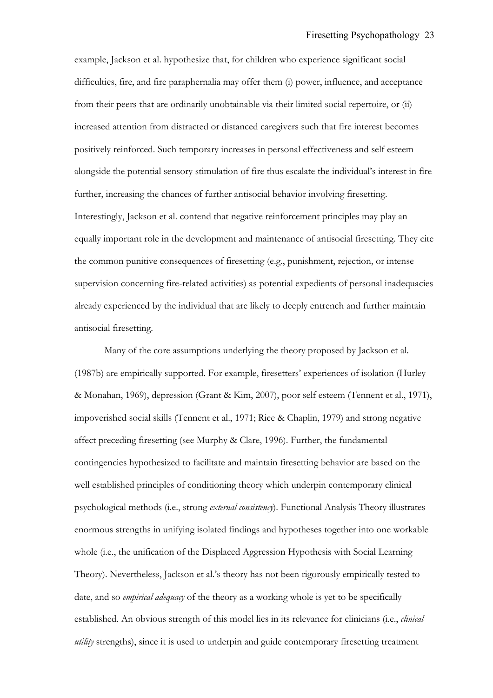example, Jackson et al. hypothesize that, for children who experience significant social difficulties, fire, and fire paraphernalia may offer them (i) power, influence, and acceptance from their peers that are ordinarily unobtainable via their limited social repertoire, or (ii) increased attention from distracted or distanced caregivers such that fire interest becomes positively reinforced. Such temporary increases in personal effectiveness and self esteem alongside the potential sensory stimulation of fire thus escalate the individual's interest in fire further, increasing the chances of further antisocial behavior involving firesetting. Interestingly, Jackson et al. contend that negative reinforcement principles may play an equally important role in the development and maintenance of antisocial firesetting. They cite the common punitive consequences of firesetting (e.g., punishment, rejection, or intense supervision concerning fire-related activities) as potential expedients of personal inadequacies already experienced by the individual that are likely to deeply entrench and further maintain antisocial firesetting.

Many of the core assumptions underlying the theory proposed by Jackson et al. (1987b) are empirically supported. For example, firesetters' experiences of isolation (Hurley & Monahan, 1969), depression (Grant & Kim, 2007), poor self esteem (Tennent et al., 1971), impoverished social skills (Tennent et al., 1971; Rice & Chaplin, 1979) and strong negative affect preceding firesetting (see Murphy & Clare, 1996). Further, the fundamental contingencies hypothesized to facilitate and maintain firesetting behavior are based on the well established principles of conditioning theory which underpin contemporary clinical psychological methods (i.e., strong *external consistency*). Functional Analysis Theory illustrates enormous strengths in unifying isolated findings and hypotheses together into one workable whole (*i.e.*, the unification of the Displaced Aggression Hypothesis with Social Learning Theory). Nevertheless, Jackson et al.'s theory has not been rigorously empirically tested to date, and so *empirical adequacy* of the theory as a working whole is yet to be specifically established. An obvious strength of this model lies in its relevance for clinicians (i.e., *clinical utility* strengths), since it is used to underpin and guide contemporary firesetting treatment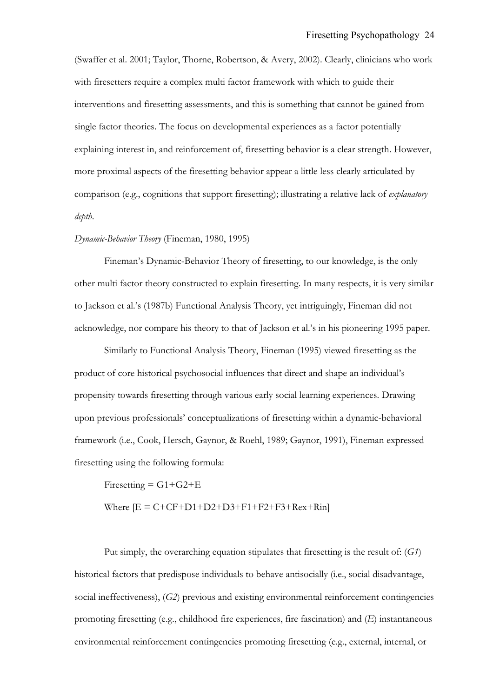(Swaffer et al. 2001; Taylor, Thorne, Robertson, & Avery, 2002). Clearly, clinicians who work with firesetters require a complex multi factor framework with which to guide their interventions and firesetting assessments, and this is something that cannot be gained from single factor theories. The focus on developmental experiences as a factor potentially explaining interest in, and reinforcement of, firesetting behavior is a clear strength. However, more proximal aspects of the firesetting behavior appear a little less clearly articulated by comparison (e.g., cognitions that support firesetting); illustrating a relative lack of *explanatory depth*.

#### *Dynamic-Behavior Theory* (Fineman, 1980, 1995)

Fineman's Dynamic-Behavior Theory of firesetting, to our knowledge, is the only other multi factor theory constructed to explain firesetting. In many respects, it is very similar to Jackson et al.'s (1987b) Functional Analysis Theory, yet intriguingly, Fineman did not acknowledge, nor compare his theory to that of Jackson et al.'s in his pioneering 1995 paper.

Similarly to Functional Analysis Theory, Fineman (1995) viewed firesetting as the product of core historical psychosocial influences that direct and shape an individual's propensity towards firesetting through various early social learning experiences. Drawing upon previous professionals' conceptualizations of firesetting within a dynamic-behavioral framework (i.e., Cook, Hersch, Gaynor, & Roehl, 1989; Gaynor, 1991), Fineman expressed firesetting using the following formula:

Firesetting  $= G1 + G2 + E$ 

Where  $E = C + CF + D1 + D2 + D3 + F1 + F2 + F3 + Rex + Rin$ 

Put simply, the overarching equation stipulates that firesetting is the result of: (*G1*) historical factors that predispose individuals to behave antisocially (i.e., social disadvantage, social ineffectiveness), (*G2*) previous and existing environmental reinforcement contingencies promoting firesetting (e.g., childhood fire experiences, fire fascination) and (*E*) instantaneous environmental reinforcement contingencies promoting firesetting (e.g., external, internal, or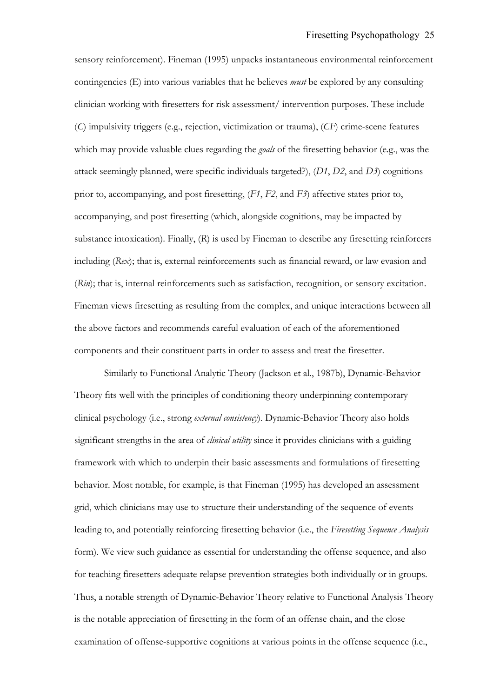sensory reinforcement). Fineman (1995) unpacks instantaneous environmental reinforcement contingencies (E) into various variables that he believes *must* be explored by any consulting clinician working with firesetters for risk assessment/ intervention purposes. These include (*C*) impulsivity triggers (e.g., rejection, victimization or trauma), (*CF*) crime-scene features which may provide valuable clues regarding the *goals* of the firesetting behavior (e.g., was the attack seemingly planned, were specific individuals targeted?), (*D1*, *D2*, and *D3*) cognitions prior to, accompanying, and post firesetting, (*F1*, *F2*, and *F3*) affective states prior to, accompanying, and post firesetting (which, alongside cognitions, may be impacted by substance intoxication). Finally, (*R*) is used by Fineman to describe any firesetting reinforcers including (*Rex*); that is, external reinforcements such as financial reward, or law evasion and (*Rin*); that is, internal reinforcements such as satisfaction, recognition, or sensory excitation. Fineman views firesetting as resulting from the complex, and unique interactions between all the above factors and recommends careful evaluation of each of the aforementioned components and their constituent parts in order to assess and treat the firesetter.

Similarly to Functional Analytic Theory (Jackson et al., 1987b), Dynamic-Behavior Theory fits well with the principles of conditioning theory underpinning contemporary clinical psychology (i.e., strong *external consistency*). Dynamic-Behavior Theory also holds significant strengths in the area of *clinical utility* since it provides clinicians with a guiding framework with which to underpin their basic assessments and formulations of firesetting behavior. Most notable, for example, is that Fineman (1995) has developed an assessment grid, which clinicians may use to structure their understanding of the sequence of events leading to, and potentially reinforcing firesetting behavior (i.e., the *Firesetting Sequence Analysis* form). We view such guidance as essential for understanding the offense sequence, and also for teaching firesetters adequate relapse prevention strategies both individually or in groups. Thus, a notable strength of Dynamic-Behavior Theory relative to Functional Analysis Theory is the notable appreciation of firesetting in the form of an offense chain, and the close examination of offense-supportive cognitions at various points in the offense sequence (i.e.,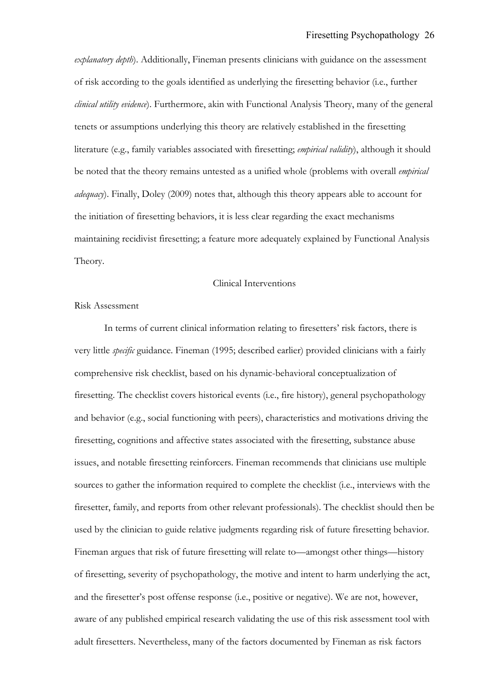*explanatory depth*). Additionally, Fineman presents clinicians with guidance on the assessment of risk according to the goals identified as underlying the firesetting behavior (i.e., further *clinical utility evidence*). Furthermore, akin with Functional Analysis Theory, many of the general tenets or assumptions underlying this theory are relatively established in the firesetting literature (e.g., family variables associated with firesetting; *empirical validity*), although it should be noted that the theory remains untested as a unified whole (problems with overall *empirical adequacy*). Finally, Doley (2009) notes that, although this theory appears able to account for the initiation of firesetting behaviors, it is less clear regarding the exact mechanisms maintaining recidivist firesetting; a feature more adequately explained by Functional Analysis Theory.

#### Clinical Interventions

#### Risk Assessment

In terms of current clinical information relating to firesetters' risk factors, there is very little *specific* guidance. Fineman (1995; described earlier) provided clinicians with a fairly comprehensive risk checklist, based on his dynamic-behavioral conceptualization of firesetting. The checklist covers historical events (i.e., fire history), general psychopathology and behavior (e.g., social functioning with peers), characteristics and motivations driving the firesetting, cognitions and affective states associated with the firesetting, substance abuse issues, and notable firesetting reinforcers. Fineman recommends that clinicians use multiple sources to gather the information required to complete the checklist (i.e., interviews with the firesetter, family, and reports from other relevant professionals). The checklist should then be used by the clinician to guide relative judgments regarding risk of future firesetting behavior. Fineman argues that risk of future firesetting will relate to—amongst other things—history of firesetting, severity of psychopathology, the motive and intent to harm underlying the act, and the firesetter's post offense response (i.e., positive or negative). We are not, however, aware of any published empirical research validating the use of this risk assessment tool with adult firesetters. Nevertheless, many of the factors documented by Fineman as risk factors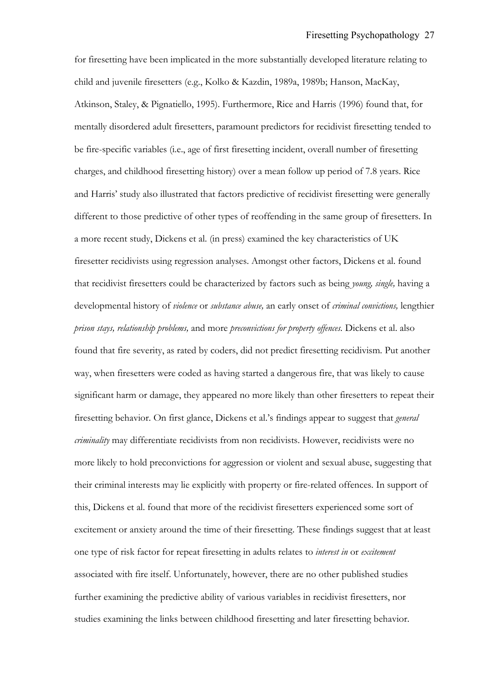for firesetting have been implicated in the more substantially developed literature relating to child and juvenile firesetters (e.g., Kolko & Kazdin, 1989a, 1989b; Hanson, MacKay, Atkinson, Staley, & Pignatiello, 1995). Furthermore, Rice and Harris (1996) found that, for mentally disordered adult firesetters, paramount predictors for recidivist firesetting tended to be fire-specific variables (i.e., age of first firesetting incident, overall number of firesetting charges, and childhood firesetting history) over a mean follow up period of 7.8 years. Rice and Harris' study also illustrated that factors predictive of recidivist firesetting were generally different to those predictive of other types of reoffending in the same group of firesetters. In a more recent study, Dickens et al. (in press) examined the key characteristics of UK firesetter recidivists using regression analyses. Amongst other factors, Dickens et al. found that recidivist firesetters could be characterized by factors such as being *young, single,* having a developmental history of *violence* or *substance abuse,* an early onset of *criminal convictions,* lengthier *prison stays, relationship problems,* and more *preconvictions for property offences.* Dickens et al. also found that fire severity, as rated by coders, did not predict firesetting recidivism. Put another way, when firesetters were coded as having started a dangerous fire, that was likely to cause significant harm or damage, they appeared no more likely than other firesetters to repeat their firesetting behavior. On first glance, Dickens et al.'s findings appear to suggest that *general criminality* may differentiate recidivists from non recidivists. However, recidivists were no more likely to hold preconvictions for aggression or violent and sexual abuse, suggesting that their criminal interests may lie explicitly with property or fire-related offences. In support of this, Dickens et al. found that more of the recidivist firesetters experienced some sort of excitement or anxiety around the time of their firesetting. These findings suggest that at least one type of risk factor for repeat firesetting in adults relates to *interest in* or *excitement* associated with fire itself. Unfortunately, however, there are no other published studies further examining the predictive ability of various variables in recidivist firesetters, nor studies examining the links between childhood firesetting and later firesetting behavior.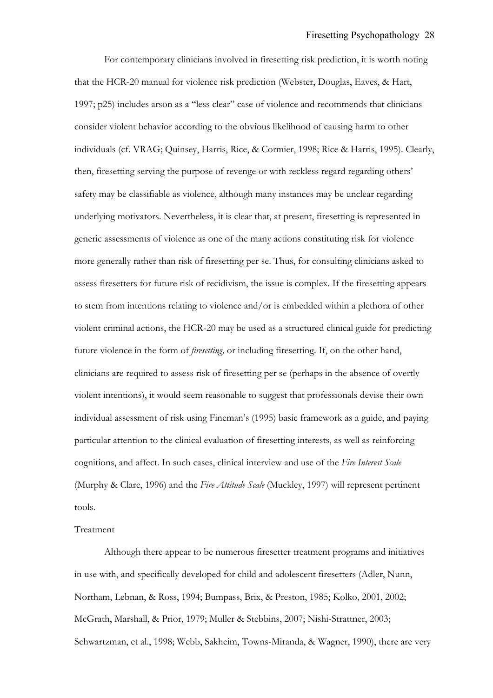For contemporary clinicians involved in firesetting risk prediction, it is worth noting that the HCR-20 manual for violence risk prediction (Webster, Douglas, Eaves, & Hart, 1997; p25) includes arson as a "less clear" case of violence and recommends that clinicians consider violent behavior according to the obvious likelihood of causing harm to other individuals (cf. VRAG; Quinsey, Harris, Rice, & Cormier, 1998; Rice & Harris, 1995). Clearly, then, firesetting serving the purpose of revenge or with reckless regard regarding others' safety may be classifiable as violence, although many instances may be unclear regarding underlying motivators. Nevertheless, it is clear that, at present, firesetting is represented in generic assessments of violence as one of the many actions constituting risk for violence more generally rather than risk of firesetting per se. Thus, for consulting clinicians asked to assess firesetters for future risk of recidivism, the issue is complex. If the firesetting appears to stem from intentions relating to violence and/or is embedded within a plethora of other violent criminal actions, the HCR-20 may be used as a structured clinical guide for predicting future violence in the form of *firesetting,* or including firesetting. If, on the other hand, clinicians are required to assess risk of firesetting per se (perhaps in the absence of overtly violent intentions), it would seem reasonable to suggest that professionals devise their own individual assessment of risk using Fineman's (1995) basic framework as a guide, and paying particular attention to the clinical evaluation of firesetting interests, as well as reinforcing cognitions, and affect. In such cases, clinical interview and use of the *Fire Interest Scale* (Murphy & Clare, 1996) and the *Fire Attitude Scale* (Muckley, 1997) will represent pertinent tools.

#### Treatment

Although there appear to be numerous firesetter treatment programs and initiatives in use with, and specifically developed for child and adolescent firesetters (Adler, Nunn, Northam, Lebnan, & Ross, 1994; Bumpass, Brix, & Preston, 1985; Kolko, 2001, 2002; McGrath, Marshall, & Prior, 1979; Muller & Stebbins, 2007; Nishi-Strattner, 2003; Schwartzman, et al., 1998; Webb, Sakheim, Towns-Miranda, & Wagner, 1990), there are very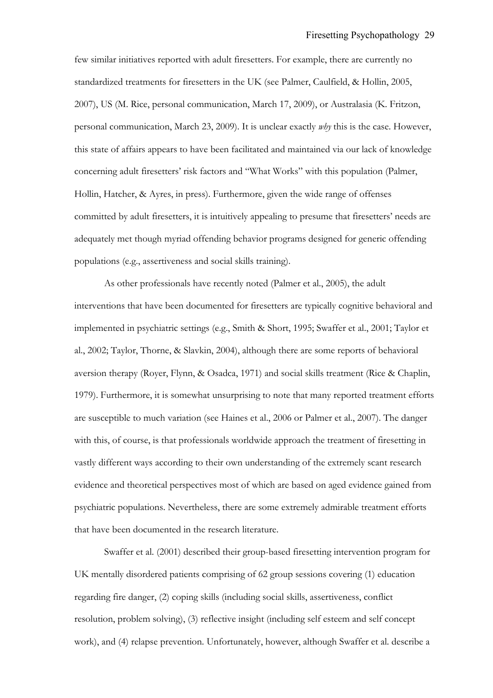few similar initiatives reported with adult firesetters. For example, there are currently no standardized treatments for firesetters in the UK (see Palmer, Caulfield, & Hollin, 2005, 2007), US (M. Rice, personal communication, March 17, 2009), or Australasia (K. Fritzon, personal communication, March 23, 2009). It is unclear exactly *why* this is the case. However, this state of affairs appears to have been facilitated and maintained via our lack of knowledge concerning adult firesetters' risk factors and "What Works" with this population (Palmer, Hollin, Hatcher, & Ayres, in press). Furthermore, given the wide range of offenses committed by adult firesetters, it is intuitively appealing to presume that firesetters' needs are adequately met though myriad offending behavior programs designed for generic offending populations (e.g., assertiveness and social skills training).

As other professionals have recently noted (Palmer et al., 2005), the adult interventions that have been documented for firesetters are typically cognitive behavioral and implemented in psychiatric settings (e.g., Smith & Short, 1995; Swaffer et al., 2001; Taylor et al., 2002; Taylor, Thorne, & Slavkin, 2004), although there are some reports of behavioral aversion therapy (Royer, Flynn, & Osadca, 1971) and social skills treatment (Rice & Chaplin, 1979). Furthermore, it is somewhat unsurprising to note that many reported treatment efforts are susceptible to much variation (see Haines et al., 2006 or Palmer et al., 2007). The danger with this, of course, is that professionals worldwide approach the treatment of firesetting in vastly different ways according to their own understanding of the extremely scant research evidence and theoretical perspectives most of which are based on aged evidence gained from psychiatric populations. Nevertheless, there are some extremely admirable treatment efforts that have been documented in the research literature.

Swaffer et al. (2001) described their group-based firesetting intervention program for UK mentally disordered patients comprising of 62 group sessions covering (1) education regarding fire danger, (2) coping skills (including social skills, assertiveness, conflict resolution, problem solving), (3) reflective insight (including self esteem and self concept work), and (4) relapse prevention. Unfortunately, however, although Swaffer et al. describe a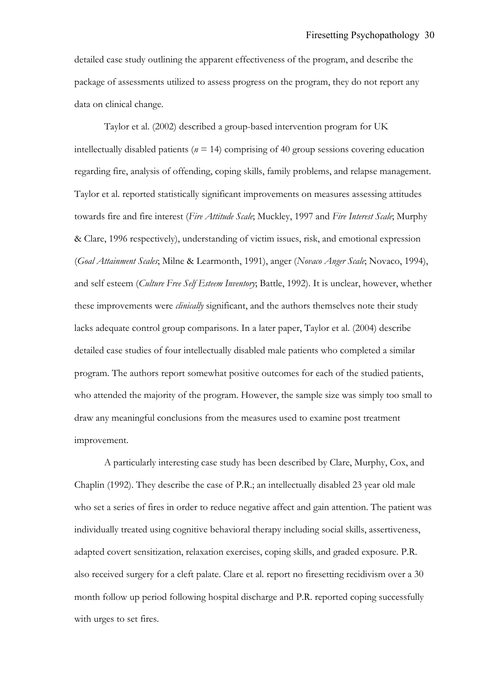detailed case study outlining the apparent effectiveness of the program, and describe the package of assessments utilized to assess progress on the program, they do not report any data on clinical change.

Taylor et al. (2002) described a group-based intervention program for UK intellectually disabled patients ( $n = 14$ ) comprising of 40 group sessions covering education regarding fire, analysis of offending, coping skills, family problems, and relapse management. Taylor et al. reported statistically significant improvements on measures assessing attitudes towards fire and fire interest (*Fire Attitude Scale*; Muckley, 1997 and *Fire Interest Scale*; Murphy & Clare, 1996 respectively), understanding of victim issues, risk, and emotional expression (*Goal Attainment Scales*; Milne & Learmonth, 1991), anger (*Novaco Anger Scale*; Novaco, 1994), and self esteem (*Culture Free Self Esteem Inventory*; Battle, 1992). It is unclear, however, whether these improvements were *clinically* significant, and the authors themselves note their study lacks adequate control group comparisons. In a later paper, Taylor et al. (2004) describe detailed case studies of four intellectually disabled male patients who completed a similar program. The authors report somewhat positive outcomes for each of the studied patients, who attended the majority of the program. However, the sample size was simply too small to draw any meaningful conclusions from the measures used to examine post treatment improvement.

A particularly interesting case study has been described by Clare, Murphy, Cox, and Chaplin (1992). They describe the case of P.R.; an intellectually disabled 23 year old male who set a series of fires in order to reduce negative affect and gain attention. The patient was individually treated using cognitive behavioral therapy including social skills, assertiveness, adapted covert sensitization, relaxation exercises, coping skills, and graded exposure. P.R. also received surgery for a cleft palate. Clare et al. report no firesetting recidivism over a 30 month follow up period following hospital discharge and P.R. reported coping successfully with urges to set fires.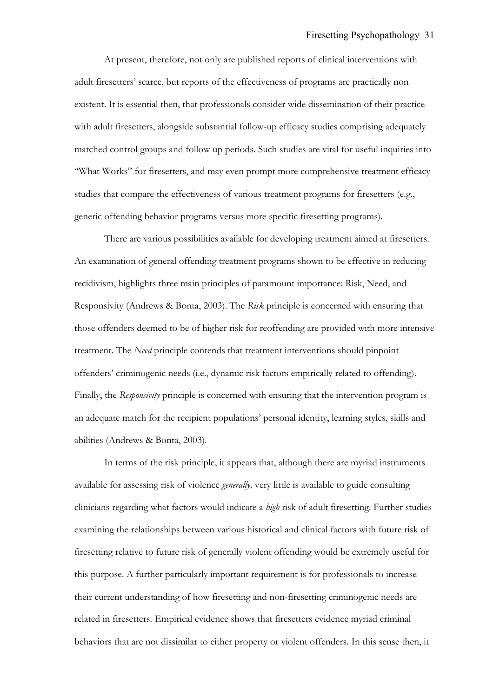At present, therefore, not only are published reports of clinical interventions with adult firesetters' scarce, but reports of the effectiveness of programs are practically non existent. It is essential then, that professionals consider wide dissemination of their practice with adult firesetters, alongside substantial follow-up efficacy studies comprising adequately matched control groups and follow up periods. Such studies are vital for useful inquiries into "What Works" for firesetters, and may even prompt more comprehensive treatment efficacy studies that compare the effectiveness of various treatment programs for firesetters (e.g., generic offending behavior programs versus more specific firesetting programs).

There are various possibilities available for developing treatment aimed at firesetters. An examination of general offending treatment programs shown to be effective in reducing recidivism, highlights three main principles of paramount importance: Risk, Need, and Responsivity (Andrews & Bonta, 2003). The *Risk* principle is concerned with ensuring that those offenders deemed to be of higher risk for reoffending are provided with more intensive treatment. The *Need* principle contends that treatment interventions should pinpoint offenders' criminogenic needs (i.e., dynamic risk factors empirically related to offending). Finally, the *Responsivity* principle is concerned with ensuring that the intervention program is an adequate match for the recipient populations' personal identity, learning styles, skills and abilities (Andrews & Bonta, 2003).

In terms of the risk principle, it appears that, although there are myriad instruments available for assessing risk of violence *generally,* very little is available to guide consulting clinicians regarding what factors would indicate a *high* risk of adult firesetting. Further studies examining the relationships between various historical and clinical factors with future risk of firesetting relative to future risk of generally violent offending would be extremely useful for this purpose. A further particularly important requirement is for professionals to increase their current understanding of how firesetting and non-firesetting criminogenic needs are related in firesetters. Empirical evidence shows that firesetters evidence myriad criminal behaviors that are not dissimilar to either property or violent offenders. In this sense then, it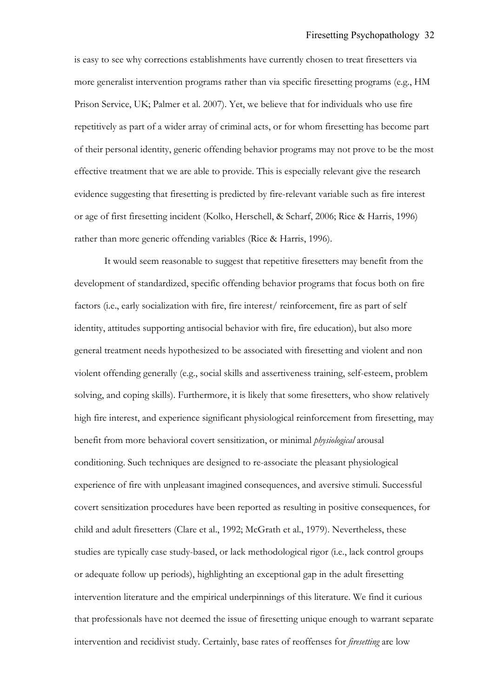is easy to see why corrections establishments have currently chosen to treat firesetters via more generalist intervention programs rather than via specific firesetting programs (e.g., HM Prison Service, UK; Palmer et al. 2007). Yet, we believe that for individuals who use fire repetitively as part of a wider array of criminal acts, or for whom firesetting has become part of their personal identity, generic offending behavior programs may not prove to be the most effective treatment that we are able to provide. This is especially relevant give the research evidence suggesting that firesetting is predicted by fire-relevant variable such as fire interest or age of first firesetting incident (Kolko, Herschell, & Scharf, 2006; Rice & Harris, 1996) rather than more generic offending variables (Rice & Harris, 1996).

It would seem reasonable to suggest that repetitive firesetters may benefit from the development of standardized, specific offending behavior programs that focus both on fire factors (i.e., early socialization with fire, fire interest/ reinforcement, fire as part of self identity, attitudes supporting antisocial behavior with fire, fire education), but also more general treatment needs hypothesized to be associated with firesetting and violent and non violent offending generally (e.g., social skills and assertiveness training, self-esteem, problem solving, and coping skills). Furthermore, it is likely that some firesetters, who show relatively high fire interest, and experience significant physiological reinforcement from firesetting, may benefit from more behavioral covert sensitization, or minimal *physiological* arousal conditioning. Such techniques are designed to re-associate the pleasant physiological experience of fire with unpleasant imagined consequences, and aversive stimuli. Successful covert sensitization procedures have been reported as resulting in positive consequences, for child and adult firesetters (Clare et al., 1992; McGrath et al., 1979). Nevertheless, these studies are typically case study-based, or lack methodological rigor (i.e., lack control groups or adequate follow up periods), highlighting an exceptional gap in the adult firesetting intervention literature and the empirical underpinnings of this literature. We find it curious that professionals have not deemed the issue of firesetting unique enough to warrant separate intervention and recidivist study. Certainly, base rates of reoffenses for *firesetting* are low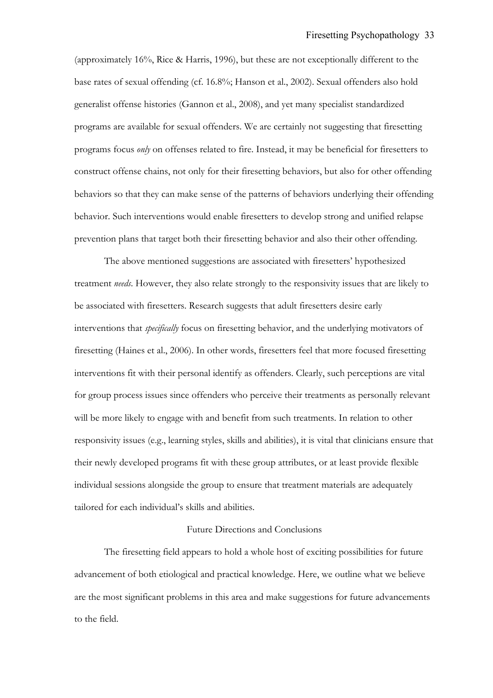(approximately 16%, Rice & Harris, 1996), but these are not exceptionally different to the base rates of sexual offending (cf. 16.8%; Hanson et al., 2002). Sexual offenders also hold generalist offense histories (Gannon et al., 2008), and yet many specialist standardized programs are available for sexual offenders. We are certainly not suggesting that firesetting programs focus *only* on offenses related to fire. Instead, it may be beneficial for firesetters to construct offense chains, not only for their firesetting behaviors, but also for other offending behaviors so that they can make sense of the patterns of behaviors underlying their offending behavior. Such interventions would enable firesetters to develop strong and unified relapse prevention plans that target both their firesetting behavior and also their other offending.

The above mentioned suggestions are associated with firesetters' hypothesized treatment *needs*. However, they also relate strongly to the responsivity issues that are likely to be associated with firesetters. Research suggests that adult firesetters desire early interventions that *specifically* focus on firesetting behavior, and the underlying motivators of firesetting (Haines et al., 2006). In other words, firesetters feel that more focused firesetting interventions fit with their personal identify as offenders. Clearly, such perceptions are vital for group process issues since offenders who perceive their treatments as personally relevant will be more likely to engage with and benefit from such treatments. In relation to other responsivity issues (e.g., learning styles, skills and abilities), it is vital that clinicians ensure that their newly developed programs fit with these group attributes, or at least provide flexible individual sessions alongside the group to ensure that treatment materials are adequately tailored for each individual's skills and abilities.

#### Future Directions and Conclusions

The firesetting field appears to hold a whole host of exciting possibilities for future advancement of both etiological and practical knowledge. Here, we outline what we believe are the most significant problems in this area and make suggestions for future advancements to the field.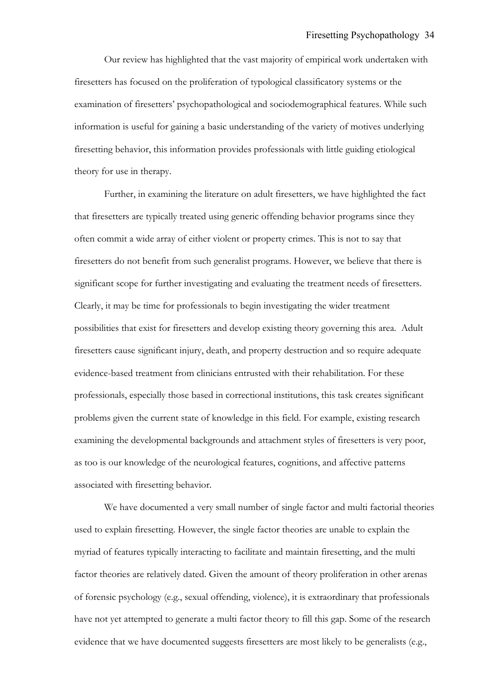Our review has highlighted that the vast majority of empirical work undertaken with firesetters has focused on the proliferation of typological classificatory systems or the examination of firesetters' psychopathological and sociodemographical features. While such information is useful for gaining a basic understanding of the variety of motives underlying firesetting behavior, this information provides professionals with little guiding etiological theory for use in therapy.

Further, in examining the literature on adult firesetters, we have highlighted the fact that firesetters are typically treated using generic offending behavior programs since they often commit a wide array of either violent or property crimes. This is not to say that firesetters do not benefit from such generalist programs. However, we believe that there is significant scope for further investigating and evaluating the treatment needs of firesetters. Clearly, it may be time for professionals to begin investigating the wider treatment possibilities that exist for firesetters and develop existing theory governing this area. Adult firesetters cause significant injury, death, and property destruction and so require adequate evidence-based treatment from clinicians entrusted with their rehabilitation. For these professionals, especially those based in correctional institutions, this task creates significant problems given the current state of knowledge in this field. For example, existing research examining the developmental backgrounds and attachment styles of firesetters is very poor, as too is our knowledge of the neurological features, cognitions, and affective patterns associated with firesetting behavior.

We have documented a very small number of single factor and multi factorial theories used to explain firesetting. However, the single factor theories are unable to explain the myriad of features typically interacting to facilitate and maintain firesetting, and the multi factor theories are relatively dated. Given the amount of theory proliferation in other arenas of forensic psychology (e.g., sexual offending, violence), it is extraordinary that professionals have not yet attempted to generate a multi factor theory to fill this gap. Some of the research evidence that we have documented suggests firesetters are most likely to be generalists (e.g.,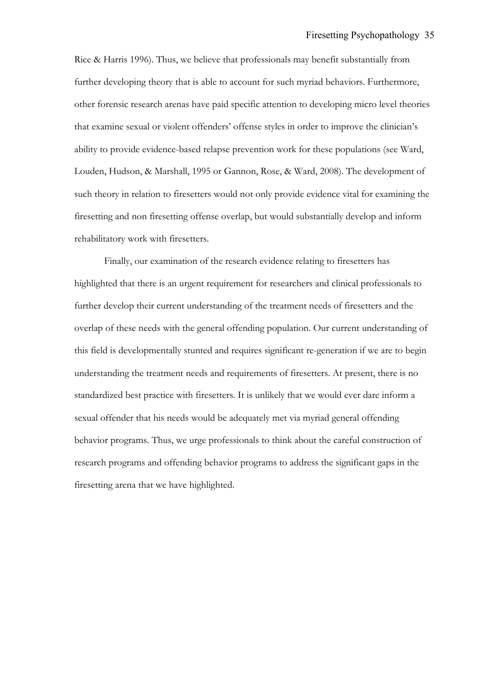Rice & Harris 1996). Thus, we believe that professionals may benefit substantially from further developing theory that is able to account for such myriad behaviors. Furthermore, other forensic research arenas have paid specific attention to developing micro level theories that examine sexual or violent offenders' offense styles in order to improve the clinician's ability to provide evidence-based relapse prevention work for these populations (see Ward, Louden, Hudson, & Marshall, 1995 or Gannon, Rose, & Ward, 2008). The development of such theory in relation to firesetters would not only provide evidence vital for examining the firesetting and non firesetting offense overlap, but would substantially develop and inform rehabilitatory work with firesetters.

Finally, our examination of the research evidence relating to firesetters has highlighted that there is an urgent requirement for researchers and clinical professionals to further develop their current understanding of the treatment needs of firesetters and the overlap of these needs with the general offending population. Our current understanding of this field is developmentally stunted and requires significant re-generation if we are to begin understanding the treatment needs and requirements of firesetters. At present, there is no standardized best practice with firesetters. It is unlikely that we would ever dare inform a sexual offender that his needs would be adequately met via myriad general offending behavior programs. Thus, we urge professionals to think about the careful construction of research programs and offending behavior programs to address the significant gaps in the firesetting arena that we have highlighted.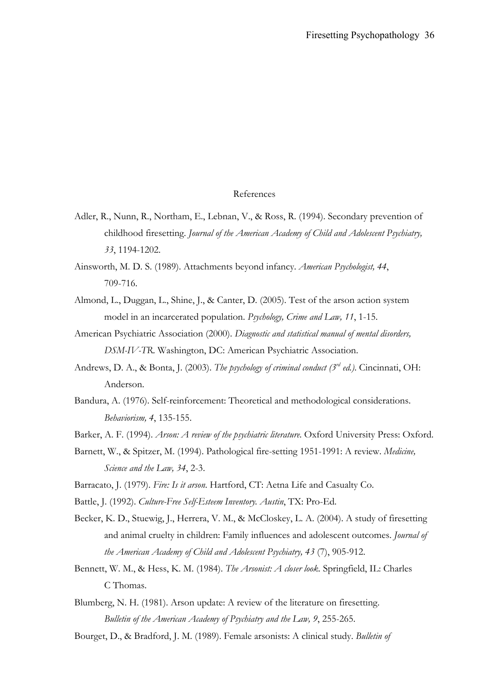#### References

- Adler, R., Nunn, R., Northam, E., Lebnan, V., & Ross, R. (1994). Secondary prevention of childhood firesetting. *Journal of the American Academy of Child and Adolescent Psychiatry, 33*, 1194-1202.
- Ainsworth, M. D. S. (1989). Attachments beyond infancy. *American Psychologist, 44*, 709-716.
- Almond, L., Duggan, L., Shine, J., & Canter, D. (2005). Test of the arson action system model in an incarcerated population. *Psychology, Crime and Law, 11*, 1-15.
- American Psychiatric Association (2000). *Diagnostic and statistical manual of mental disorders, DSM-IV-TR*. Washington, DC: American Psychiatric Association.
- Andrews, D. A., & Bonta, J. (2003). *The psychology of criminal conduct (3 rd ed.)*. Cincinnati, OH: Anderson.
- Bandura, A. (1976). Self-reinforcement: Theoretical and methodological considerations. *Behaviorism, 4*, 135-155.
- Barker, A. F. (1994). *Arson: A review of the psychiatric literature*. Oxford University Press: Oxford.
- Barnett, W., & Spitzer, M. (1994). Pathological fire-setting 1951-1991: A review. *Medicine, Science and the Law, 34*, 2-3.
- Barracato, J. (1979). *Fire: Is it arson*. Hartford, CT: Aetna Life and Casualty Co.
- Battle, J. (1992). *Culture-Free Self-Esteem Inventory. Austin*, TX: Pro-Ed.
- Becker, K. D., Stuewig, J., Herrera, V. M., & McCloskey, L. A. (2004). A study of firesetting and animal cruelty in children: Family influences and adolescent outcomes. *Journal of the American Academy of Child and Adolescent Psychiatry, 43* (7), 905-912.
- Bennett, W. M., & Hess, K. M. (1984). *The Arsonist: A closer look.* Springfield, IL: Charles C Thomas.
- Blumberg, N. H. (1981). Arson update: A review of the literature on firesetting. *Bulletin of the American Academy of Psychiatry and the Law, 9*, 255-265.

Bourget, D., & Bradford, J. M. (1989). Female arsonists: A clinical study. *Bulletin of*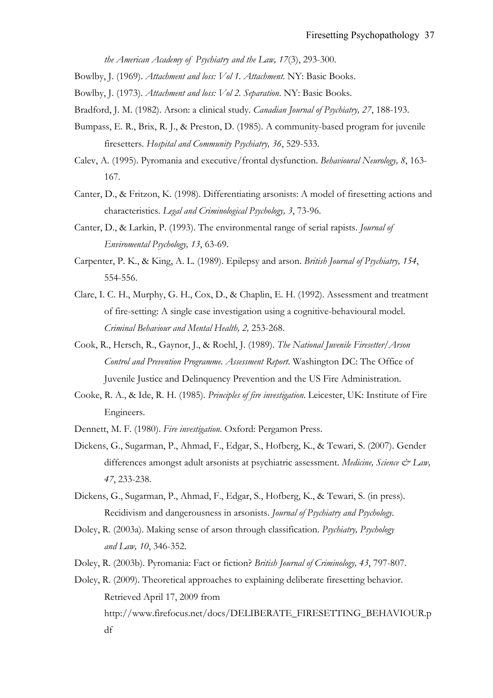*the American Academy of Psychiatry and the Law, 17*(3), 293-300.

Bowlby, J. (1969). *Attachment and loss: Vol 1. Attachment*. NY: Basic Books.

- Bowlby, J. (1973). *Attachment and loss: Vol 2. Separation*. NY: Basic Books.
- Bradford, J. M. (1982). Arson: a clinical study. *Canadian Journal of Psychiatry, 27*, 188-193.
- Bumpass, E. R., Brix, R. J., & Preston, D. (1985). A community-based program for juvenile firesetters. *Hospital and Community Psychiatry, 36*, 529-533.
- Calev, A. (1995). Pyromania and executive/frontal dysfunction. *Behavioural Neurology, 8*, 163- 167.
- Canter, D., & Fritzon, K. (1998). Differentiating arsonists: A model of firesetting actions and characteristics. *Legal and Criminological Psychology, 3*, 73-96.
- Canter, D., & Larkin, P. (1993). The environmental range of serial rapists. *Journal of Enviromental Psychology, 13*, 63-69.
- Carpenter, P. K., & King, A. L. (1989). Epilepsy and arson. *British Journal of Psychiatry, 154*, 554-556.
- Clare, I. C. H., Murphy, G. H., Cox, D., & Chaplin, E. H. (1992). Assessment and treatment of fire-setting: A single case investigation using a cognitive-behavioural model. *Criminal Behaviour and Mental Health, 2,* 253-268.
- Cook, R., Hersch, R., Gaynor, J., & Roehl, J. (1989). *The National Juvenile Firesetter/Arson Control and Prevention Programme. Assessment Report*. Washington DC: The Office of Juvenile Justice and Delinquency Prevention and the US Fire Administration.
- Cooke, R. A., & Ide, R. H. (1985). *Principles of fire investigation*. Leicester, UK: Institute of Fire Engineers.
- Dennett, M. F. (1980). *Fire investigation*. Oxford: Pergamon Press.
- Dickens, G., Sugarman, P., Ahmad, F., Edgar, S., Hofberg, K., & Tewari, S. (2007). Gender differences amongst adult arsonists at psychiatric assessment. *Medicine*, *Science* & Law, *47*, 233-238.
- Dickens, G., Sugarman, P., Ahmad, F., Edgar, S., Hofberg, K., & Tewari, S. (in press). Recidivism and dangerousness in arsonists. *Journal of Psychiatry and Psychology.*
- Doley, R. (2003a). Making sense of arson through classification. *Psychiatry, Psychology and Law, 10*, 346-352.

Doley, R. (2003b). Pyromania: Fact or fiction? *British Journal of Criminology, 43*, 797-807.

Doley, R. (2009). Theoretical approaches to explaining deliberate firesetting behavior. Retrieved April 17, 2009 from http://www.firefocus.net/docs/DELIBERATE\_FIRESETTING\_BEHAVIOUR.p df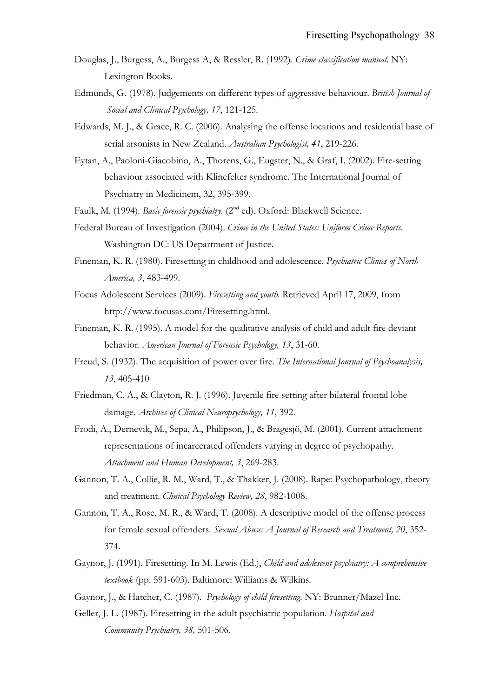- Douglas, J., Burgess, A., Burgess A, & Ressler, R. (1992). *Crime classification manual.* NY: Lexington Books.
- Edmunds, G. (1978). Judgements on different types of aggressive behaviour. *British Journal of Social and Clinical Psychology, 17*, 121-125.
- Edwards, M. J., & Grace, R. C. (2006). Analysing the offense locations and residential base of serial arsonists in New Zealand. *Australian Psychologist, 41*, 219-226.
- Eytan, A., Paoloni-Giacobino, A., Thorens, G., Eugster, N., & Graf, I. (2002). Fire-setting behaviour associated with Klinefelter syndrome. The International Journal of Psychiatry in Medicinem, 32, 395-399.
- Faulk, M. (1994). *Basic forensic psychiatry*. (2<sup>nd</sup> ed). Oxford: Blackwell Science.
- Federal Bureau of Investigation (2004). *Crime in the United States: Uniform Crime Reports.* Washington DC: US Department of Justice.
- Fineman, K. R. (1980). Firesetting in childhood and adolescence. *Psychiatric Clinics of North America, 3*, 483-499.
- Focus Adolescent Services (2009). *Firesetting and youth*. Retrieved April 17, 2009, from http://www.focusas.com/Firesetting.html.
- Fineman, K. R. (1995). A model for the qualitative analysis of child and adult fire deviant behavior. *American Journal of Forensic Psychology, 13*, 31-60.
- Freud, S. (1932). The acquisition of power over fire. *The International Journal of Psychoanalysis, 13*, 405-410
- Friedman, C. A., & Clayton, R. J. (1996). Juvenile fire setting after bilateral frontal lobe damage. *Archives of Clinical Neuropsychology, 11*, 392.
- Frodi, A., Dernevik, M., Sepa, A., Philipson, J., & Bragesjö, M. (2001). Current attachment representations of incarcerated offenders varying in degree of psychopathy. *Attachment and Human Development, 3*, 269-283.
- Gannon, T. A., Collie, R. M., Ward, T., & Thakker, J. (2008). Rape: Psychopathology, theory and treatment. *Clinical Psychology Review, 28*, 982-1008.
- Gannon, T. A., Rose, M. R., & Ward, T. (2008). A descriptive model of the offense process for female sexual offenders. *Sexual Abuse: A Journal of Research and Treatment, 20*, 352- 374.
- Gaynor, J. (1991). Firesetting. In M. Lewis (Ed.), *Child and adolescent psychiatry: A comprehensive textbook* (pp. 591-603). Baltimore: Williams & Wilkins.
- Gaynor, J., & Hatcher, C. (1987). *Psychology of child firesetting*. NY: Brunner/Mazel Inc.
- Geller, J. L. (1987). Firesetting in the adult psychiatric population. *Hospital and Community Psychiatry, 38,* 501-506.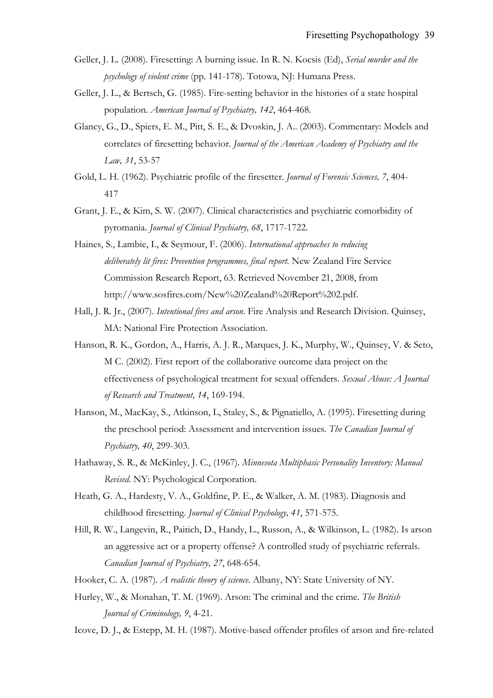- Geller, J. L. (2008). Firesetting: A burning issue. In R. N. Kocsis (Ed), *Serial murder and the psychology of violent crime* (pp. 141-178). Totowa, NJ: Humana Press.
- Geller, J. L., & Bertsch, G. (1985). Fire-setting behavior in the histories of a state hospital population*. American Journal of Psychiatry, 142*, 464-468.
- Glancy, G., D., Spiers, E. M., Pitt, S. E., & Dvoskin, J. A.. (2003). Commentary: Models and correlates of firesetting behavior. *Journal of the American Academy of Psychiatry and the Law, 31*, 53-57
- Gold, L. H. (1962). Psychiatric profile of the firesetter. *Journal of Forensic Sciences, 7*, 404- 417
- Grant, J. E., & Kim, S. W. (2007). Clinical characteristics and psychiatric comorbidity of pyromania. *Journal of Clinical Psychiatry, 68*, 1717-1722.
- Haines, S., Lambie, I., & Seymour, F. (2006). *International approaches to reducing deliberately lit fires: Prevention programmes, final report.* New Zealand Fire Service Commission Research Report, 63. Retrieved November 21, 2008, from http://www.sosfires.com/New%20Zealand%20Report%202.pdf.
- Hall, J. R. Jr., (2007). *Intentional fires and arson*. Fire Analysis and Research Division. Quinsey, MA: National Fire Protection Association.
- Hanson, R. K., Gordon, A., Harris, A. J. R., Marques, J. K., Murphy, W., Quinsey, V. & Seto, M C. (2002). First report of the collaborative outcome data project on the effectiveness of psychological treatment for sexual offenders. *Sexual Abuse: A Journal of Research and Treatment, 14*, 169-194.
- Hanson, M., MacKay, S., Atkinson, L, Staley, S., & Pignatiello, A. (1995). Firesetting during the preschool period: Assessment and intervention issues. *The Canadian Journal of Psychiatry, 40*, 299-303.
- Hathaway, S. R., & McKinley, J. C., (1967). *Minnesota Multiphasic Personality Inventory: Manual Revised*. NY: Psychological Corporation.
- Heath, G. A., Hardesty, V. A., Goldfine, P. E., & Walker, A. M. (1983). Diagnosis and childhood firesetting. *Journal of Clinical Psychology, 41*, 571-575.
- Hill, R. W., Langevin, R., Paitich, D., Handy, L., Russon, A., & Wilkinson, L. (1982). Is arson an aggressive act or a property offense? A controlled study of psychiatric referrals. *Canadian Journal of Psychiatry, 27*, 648-654.
- Hooker, C. A. (1987). *A realistic theory of science.* Albany, NY: State University of NY.
- Hurley, W., & Monahan, T. M. (1969). Arson: The criminal and the crime. *The British Journal of Criminology, 9*, 4-21.
- Icove, D. J., & Estepp, M. H. (1987). Motive-based offender profiles of arson and fire-related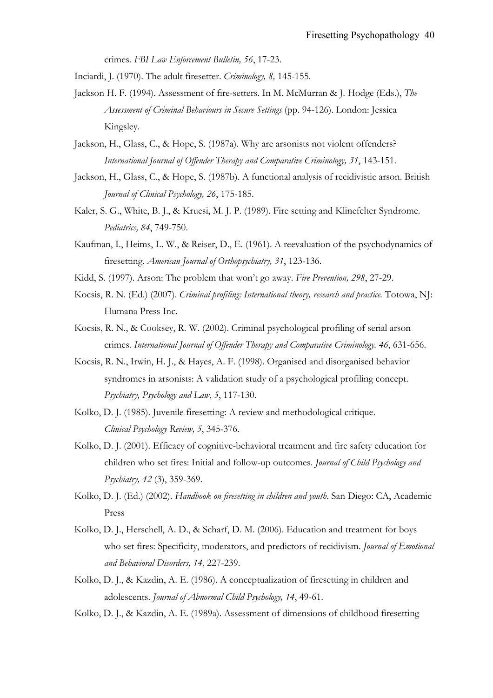crimes*. FBI Law Enforcement Bulletin, 56*, 17-23.

Inciardi, J. (1970). The adult firesetter. *Criminology, 8,* 145-155.

- Jackson H. F. (1994). Assessment of fire-setters. In M. McMurran & J. Hodge (Eds.), *The Assessment of Criminal Behaviours in Secure Settings* (pp. 94-126). London: Jessica Kingsley.
- Jackson, H., Glass, C., & Hope, S. (1987a). Why are arsonists not violent offenders? *International Journal of Offender Therapy and Comparative Criminology, 31*, 143-151.
- Jackson, H., Glass, C., & Hope, S. (1987b). A functional analysis of recidivistic arson. British *Journal of Clinical Psychology, 26*, 175-185.
- Kaler, S. G., White, B. J., & Kruesi, M. J. P. (1989). Fire setting and Klinefelter Syndrome. *Pediatrics, 84*, 749-750.
- Kaufman, I., Heims, L. W., & Reiser, D., E. (1961). A reevaluation of the psychodynamics of firesetting. *American Journal of Orthopsychiatry, 31*, 123-136.
- Kidd, S. (1997). Arson: The problem that won't go away. *Fire Prevention, 298*, 27-29.
- Kocsis, R. N. (Ed.) (2007). *Criminal profiling: International theory, research and practice.* Totowa, NJ: Humana Press Inc.
- Kocsis, R. N., & Cooksey, R. W. (2002). Criminal psychological profiling of serial arson crimes*. International Journal of Offender Therapy and Comparative Criminology. 46*, 631-656.
- Kocsis, R. N., Irwin, H. J., & Hayes, A. F. (1998). Organised and disorganised behavior syndromes in arsonists: A validation study of a psychological profiling concept. *Psychiatry, Psychology and Law*, *5*, 117-130.
- Kolko, D. J. (1985). Juvenile firesetting: A review and methodological critique. *Clinical Psychology Review, 5*, 345-376.
- Kolko, D. J. (2001). Efficacy of cognitive-behavioral treatment and fire safety education for children who set fires: Initial and follow-up outcomes. *Journal of Child Psychology and Psychiatry, 42* (3), 359-369.
- Kolko, D. J. (Ed.) (2002). *Handbook on firesetting in children and youth*. San Diego: CA, Academic Press
- Kolko, D. J., Herschell, A. D., & Scharf, D. M. (2006). Education and treatment for boys who set fires: Specificity, moderators, and predictors of recidivism. *Journal of Emotional and Behavioral Disorders, 14*, 227-239.
- Kolko, D. J., & Kazdin, A. E. (1986). A conceptualization of firesetting in children and adolescents. *Journal of Abnormal Child Psychology, 14*, 49-61.
- Kolko, D. J., & Kazdin, A. E. (1989a). Assessment of dimensions of childhood firesetting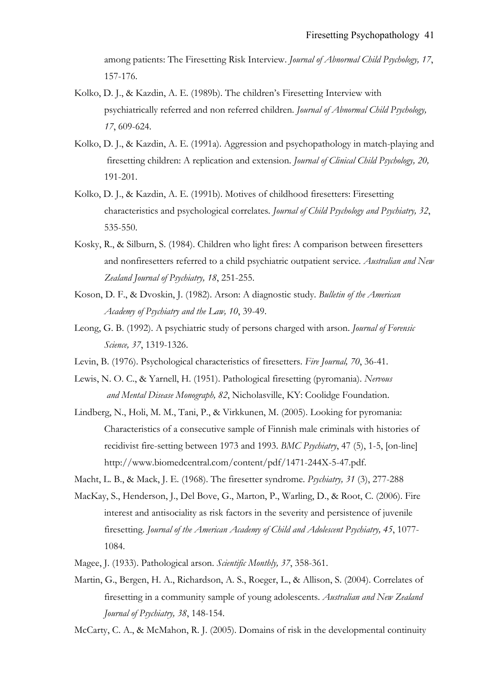among patients: The Firesetting Risk Interview. *Journal of Abnormal Child Psychology, 17*, 157-176.

- Kolko, D. J., & Kazdin, A. E. (1989b). The children's Firesetting Interview with psychiatrically referred and non referred children. *Journal of Abnormal Child Psychology, 17*, 609-624.
- Kolko, D. J., & Kazdin, A. E. (1991a). Aggression and psychopathology in match-playing and firesetting children: A replication and extension. *Journal of Clinical Child Psychology, 20,* 191-201.
- Kolko, D. J., & Kazdin, A. E. (1991b). Motives of childhood firesetters: Firesetting characteristics and psychological correlates*. Journal of Child Psychology and Psychiatry, 32*, 535-550.
- Kosky, R., & Silburn, S. (1984). Children who light fires: A comparison between firesetters and nonfiresetters referred to a child psychiatric outpatient service*. Australian and New Zealand Journal of Psychiatry, 18*, 251-255.
- Koson, D. F., & Dvoskin, J. (1982). Arson: A diagnostic study. *Bulletin of the American Academy of Psychiatry and the Law, 10*, 39-49.
- Leong, G. B. (1992). A psychiatric study of persons charged with arson. *Journal of Forensic Science, 37*, 1319-1326.
- Levin, B. (1976). Psychological characteristics of firesetters. *Fire Journal, 70*, 36-41.
- Lewis, N. O. C., & Yarnell, H. (1951). Pathological firesetting (pyromania). *Nervous and Mental Disease Monograph, 82*, Nicholasville, KY: Coolidge Foundation.
- Lindberg, N., Holi, M. M., Tani, P., & Virkkunen, M. (2005). Looking for pyromania: Characteristics of a consecutive sample of Finnish male criminals with histories of recidivist fire-setting between 1973 and 1993. *BMC Psychiatry*, 47 (5), 1-5, [on-line] http://www.biomedcentral.com/content/pdf/1471-244X-5-47.pdf.
- Macht, L. B., & Mack, J. E. (1968). The firesetter syndrome. *Psychiatry, 31* (3), 277-288
- MacKay, S., Henderson, J., Del Bove, G., Marton, P., Warling, D., & Root, C. (2006). Fire interest and antisociality as risk factors in the severity and persistence of juvenile firesetting. *Journal of the American Academy of Child and Adolescent Psychiatry, 45*, 1077- 1084.
- Magee, J. (1933). Pathological arson. *Scientific Monthly, 37*, 358-361.
- Martin, G., Bergen, H. A., Richardson, A. S., Roeger, L., & Allison, S. (2004). Correlates of firesetting in a community sample of young adolescents. *Australian and New Zealand Journal of Psychiatry, 38*, 148-154.
- McCarty, C. A., & McMahon, R. J. (2005). Domains of risk in the developmental continuity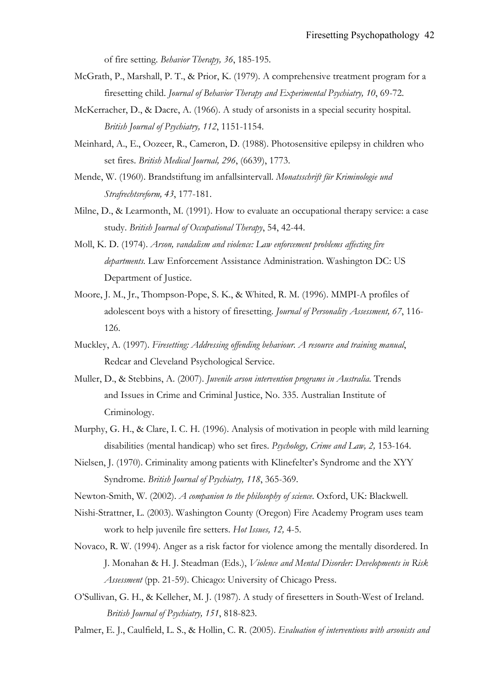of fire setting. *Behavior Therapy, 36*, 185-195.

- McGrath, P., Marshall, P. T., & Prior, K. (1979). A comprehensive treatment program for a firesetting child. *Journal of Behavior Therapy and Experimental Psychiatry, 10*, 69-72.
- McKerracher, D., & Dacre, A. (1966). A study of arsonists in a special security hospital. *British Journal of Psychiatry, 112*, 1151-1154.
- Meinhard, A., E., Oozeer, R., Cameron, D. (1988). Photosensitive epilepsy in children who set fires. *British Medical Journal, 296*, (6639), 1773.
- Mende, W. (1960). Brandstiftung im anfallsintervall. *Monatsschrift für Kriminologie und Strafrechtsreform, 43*, 177-181.
- Milne, D., & Learmonth, M. (1991). How to evaluate an occupational therapy service: a case study. *British Journal of Occupational Therapy*, 54, 42-44.
- Moll, K. D. (1974). *Arson, vandalism and violence: Law enforcement problems affecting fire departments.* Law Enforcement Assistance Administration. Washington DC: US Department of Justice.
- Moore, J. M., Jr., Thompson-Pope, S. K., & Whited, R. M. (1996). MMPI-A profiles of adolescent boys with a history of firesetting. *Journal of Personality Assessment, 67*, 116- 126.
- Muckley, A. (1997). *Firesetting: Addressing offending behaviour. A resource and training manual*, Redcar and Cleveland Psychological Service.
- Muller, D., & Stebbins, A. (2007). *Juvenile arson intervention programs in Australia.* Trends and Issues in Crime and Criminal Justice, No. 335. Australian Institute of Criminology.
- Murphy, G. H., & Clare, I. C. H. (1996). Analysis of motivation in people with mild learning disabilities (mental handicap) who set fires. *Psychology, Crime and Law, 2,* 153-164.
- Nielsen, J. (1970). Criminality among patients with Klinefelter's Syndrome and the XYY Syndrome. *British Journal of Psychiatry, 118*, 365-369.
- Newton-Smith, W. (2002). *A companion to the philosophy of science*. Oxford, UK: Blackwell.
- Nishi-Strattner, L. (2003). Washington County (Oregon) Fire Academy Program uses team work to help juvenile fire setters. *Hot Issues, 12,* 4-5.
- Novaco, R. W. (1994). Anger as a risk factor for violence among the mentally disordered. In J. Monahan & H. J. Steadman (Eds.), *Violence and Mental Disorder: Developments in Risk Assessment* (pp. 21-59). Chicago: University of Chicago Press.
- O'Sullivan, G. H., & Kelleher, M. J. (1987). A study of firesetters in South-West of Ireland. *British Journal of Psychiatry, 151*, 818-823.

Palmer, E. J., Caulfield, L. S., & Hollin, C. R. (2005). *Evaluation of interventions with arsonists and*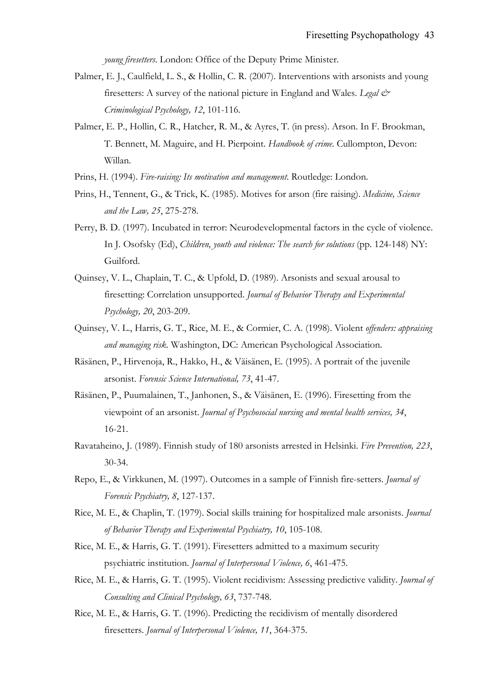*young firesetters*. London: Office of the Deputy Prime Minister.

- Palmer, E. J., Caulfield, L. S., & Hollin, C. R. (2007). Interventions with arsonists and young firesetters: A survey of the national picture in England and Wales. *Legal & Criminological Psychology, 12*, 101-116.
- Palmer, E. P., Hollin, C. R., Hatcher, R. M., & Ayres, T. (in press). Arson. In F. Brookman, T. Bennett, M. Maguire, and H. Pierpoint. *Handbook of crime*. Cullompton, Devon: Willan.
- Prins, H. (1994). *Fire-raising: Its motivation and management*. Routledge: London.
- Prins, H., Tennent, G., & Trick, K. (1985). Motives for arson (fire raising). *Medicine, Science and the Law, 25*, 275-278.
- Perry, B. D. (1997). Incubated in terror: Neurodevelopmental factors in the cycle of violence. In J. Osofsky (Ed), *Children, youth and violence: The search for solutions* (pp. 124-148) NY: Guilford.
- Quinsey, V. L., Chaplain, T. C., & Upfold, D. (1989). Arsonists and sexual arousal to firesetting: Correlation unsupported. *Journal of Behavior Therapy and Experimental Psychology, 20*, 203-209.
- Quinsey, V. L., Harris, G. T., Rice, M. E., & Cormier, C. A. (1998). Violent *offenders: appraising and managing risk.* Washington, DC: American Psychological Association.
- Räsänen, P., Hirvenoja, R., Hakko, H., & Väisänen, E. (1995). A portrait of the juvenile arsonist. *Forensic Science International, 73*, 41-47.
- Räsänen, P., Puumalainen, T., Janhonen, S., & Väisänen, E. (1996). Firesetting from the viewpoint of an arsonist. *Journal of Psychosocial nursing and mental health services, 34*, 16-21.
- Ravataheino, J. (1989). Finnish study of 180 arsonists arrested in Helsinki. *Fire Prevention, 223*, 30-34.
- Repo, E., & Virkkunen, M. (1997). Outcomes in a sample of Finnish fire-setters. *Journal of Forensic Psychiatry, 8*, 127-137.
- Rice, M. E., & Chaplin, T. (1979). Social skills training for hospitalized male arsonists. *Journal of Behavior Therapy and Experimental Psychiatry, 10*, 105-108.
- Rice, M. E., & Harris, G. T. (1991). Firesetters admitted to a maximum security psychiatric institution. *Journal of Interpersonal Violence, 6*, 461-475.
- Rice, M. E., & Harris, G. T. (1995). Violent recidivism: Assessing predictive validity. *Journal of Consulting and Clinical Psychology, 63*, 737-748.
- Rice, M. E., & Harris, G. T. (1996). Predicting the recidivism of mentally disordered firesetters. *Journal of Interpersonal Violence, 11*, 364-375.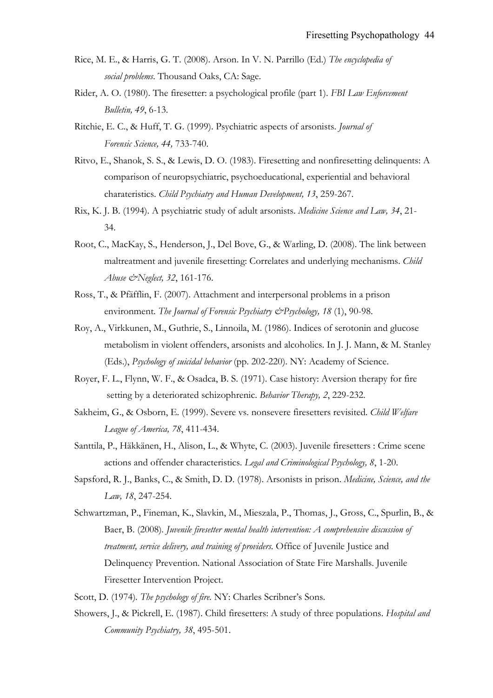- Rice, M. E., & Harris, G. T. (2008). Arson. In V. N. Parrillo (Ed.) *The encyclopedia of social problems*. Thousand Oaks, CA: Sage.
- Rider, A. O. (1980). The firesetter: a psychological profile (part 1). *FBI Law Enforcement Bulletin, 49*, 6-13.
- Ritchie, E. C., & Huff, T. G. (1999). Psychiatric aspects of arsonists. *Journal of Forensic Science, 44,* 733-740.
- Ritvo, E., Shanok, S. S., & Lewis, D. O. (1983). Firesetting and nonfiresetting delinquents: A comparison of neuropsychiatric, psychoeducational, experiential and behavioral charateristics. *Child Psychiatry and Human Development, 13*, 259-267.
- Rix, K. J. B. (1994). A psychiatric study of adult arsonists. *Medicine Science and Law, 34*, 21- 34.
- Root, C., MacKay, S., Henderson, J., Del Bove, G., & Warling, D. (2008). The link between maltreatment and juvenile firesetting: Correlates and underlying mechanisms. *Child Abuse &Neglect, 32*, 161-176.
- Ross, T., & Pfäfflin, F. (2007). Attachment and interpersonal problems in a prison environment. *The Journal of Forensic Psychiatry &Psychology, 18* (1), 90-98.
- Roy, A., Virkkunen, M., Guthrie, S., Linnoila, M. (1986). Indices of serotonin and glucose metabolism in violent offenders, arsonists and alcoholics. In J. J. Mann, & M. Stanley (Eds.), *Psychology of suicidal behavior* (pp. 202-220). NY: Academy of Science.
- Royer, F. L., Flynn, W. F., & Osadca, B. S. (1971). Case history: Aversion therapy for fire setting by a deteriorated schizophrenic. *Behavior Therapy, 2*, 229-232.
- Sakheim, G., & Osborn, E. (1999). Severe vs. nonsevere firesetters revisited. *Child Welfare League of America, 78*, 411-434.
- Santtila, P., Häkkänen, H., Alison, L., & Whyte, C. (2003). Juvenile firesetters : Crime scene actions and offender characteristics. *Legal and Criminological Psychology, 8*, 1-20.
- Sapsford, R. J., Banks, C., & Smith, D. D. (1978). Arsonists in prison. *Medicine, Science, and the Law, 18*, 247-254.
- Schwartzman, P., Fineman, K., Slavkin, M., Mieszala, P., Thomas, J., Gross, C., Spurlin, B., & Baer, B. (2008)*. Juvenile firesetter mental health intervention: A comprehensive discussion of treatment, service delivery, and training of providers.* Office of Juvenile Justice and Delinquency Prevention. National Association of State Fire Marshalls. Juvenile Firesetter Intervention Project.

Scott, D. (1974)*. The psychology of fire*. NY: Charles Scribner's Sons.

Showers, J., & Pickrell, E. (1987). Child firesetters: A study of three populations. *Hospital and Community Psychiatry, 38*, 495-501.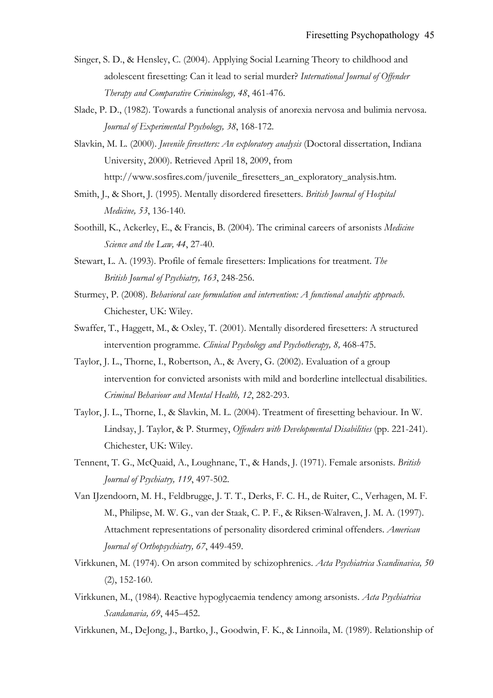- Singer, S. D., & Hensley, C. (2004). Applying Social Learning Theory to childhood and adolescent firesetting: Can it lead to serial murder? *International Journal of Offender Therapy and Comparative Criminology, 48*, 461-476.
- Slade, P. D., (1982). Towards a functional analysis of anorexia nervosa and bulimia nervosa. *Journal of Experimental Psychology, 38*, 168-172.
- Slavkin, M. L. (2000). *Juvenile firesetters: An exploratory analysis* (Doctoral dissertation, Indiana University, 2000). Retrieved April 18, 2009, from http://www.sosfires.com/juvenile\_firesetters\_an\_exploratory\_analysis.htm.
- Smith, J., & Short, J. (1995). Mentally disordered firesetters. *British Journal of Hospital Medicine, 53*, 136-140.
- Soothill, K., Ackerley, E., & Francis, B. (2004). The criminal careers of arsonists *Medicine Science and the Law, 44*, 27-40.
- Stewart, L. A. (1993). Profile of female firesetters: Implications for treatment. *The British Journal of Psychiatry, 163*, 248-256.
- Sturmey, P. (2008). *Behavioral case formulation and intervention: A functional analytic approach*. Chichester, UK: Wiley.
- Swaffer, T., Haggett, M., & Oxley, T. (2001). Mentally disordered firesetters: A structured intervention programme. *Clinical Psychology and Psychotherapy, 8,* 468-475.
- Taylor, J. L., Thorne, I., Robertson, A., & Avery, G. (2002). Evaluation of a group intervention for convicted arsonists with mild and borderline intellectual disabilities. *Criminal Behaviour and Mental Health, 12*, 282-293.
- Taylor, J. L., Thorne, I., & Slavkin, M. L. (2004). Treatment of firesetting behaviour. In W. Lindsay, J. Taylor, & P. Sturmey, *Offenders with Developmental Disabilities* (pp. 221-241). Chichester, UK: Wiley.
- Tennent, T. G., McQuaid, A., Loughnane, T., & Hands, J. (1971). Female arsonists. *British Journal of Psychiatry, 119*, 497-502.
- Van IJzendoorn, M. H., Feldbrugge, J. T. T., Derks, F. C. H., de Ruiter, C., Verhagen, M. F. M., Philipse, M. W. G., van der Staak, C. P. F., & Riksen-Walraven, J. M. A. (1997). Attachment representations of personality disordered criminal offenders. *American Journal of Orthopsychiatry, 67*, 449-459.
- Virkkunen, M. (1974). On arson commited by schizophrenics. *Acta Psychiatrica Scandinavica, 50*  (2), 152-160.
- Virkkunen, M., (1984). Reactive hypoglycaemia tendency among arsonists. *Acta Psychiatrica Scandanavia, 69*, 445–452.
- Virkkunen, M., DeJong, J., Bartko, J., Goodwin, F. K., & Linnoila, M. (1989). Relationship of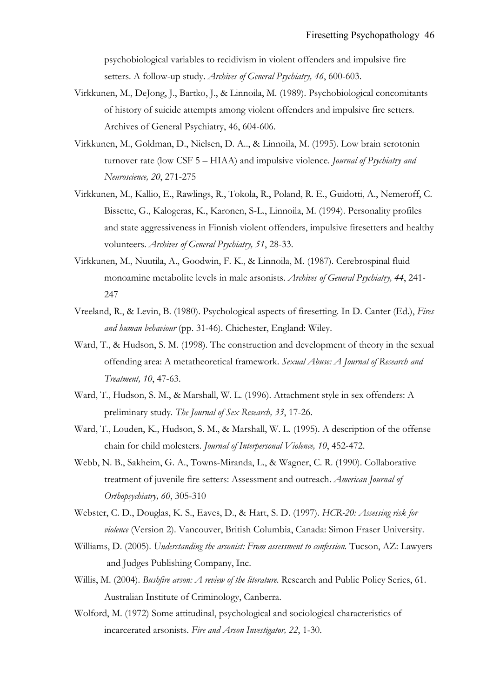psychobiological variables to recidivism in violent offenders and impulsive fire setters. A follow-up study. *Archives of General Psychiatry, 46*, 600-603.

- Virkkunen, M., DeJong, J., Bartko, J., & Linnoila, M. (1989). Psychobiological concomitants of history of suicide attempts among violent offenders and impulsive fire setters. Archives of General Psychiatry, 46, 604-606.
- Virkkunen, M., Goldman, D., Nielsen, D. A.., & Linnoila, M. (1995). Low brain serotonin turnover rate (low CSF 5 – HIAA) and impulsive violence. *Journal of Psychiatry and Neuroscience, 20*, 271-275
- Virkkunen, M., Kallio, E., Rawlings, R., Tokola, R., Poland, R. E., Guidotti, A., Nemeroff, C. Bissette, G., Kalogeras, K., Karonen, S-L., Linnoila, M. (1994). Personality profiles and state aggressiveness in Finnish violent offenders, impulsive firesetters and healthy volunteers. *Archives of General Psychiatry, 51*, 28-33.
- Virkkunen, M., Nuutila, A., Goodwin, F. K., & Linnoila, M. (1987). Cerebrospinal fluid monoamine metabolite levels in male arsonists. *Archives of General Psychiatry, 44*, 241- 247
- Vreeland, R., & Levin, B. (1980). Psychological aspects of firesetting. In D. Canter (Ed.), *Fires and human behaviour* (pp. 31-46). Chichester, England: Wiley.
- Ward, T., & Hudson, S. M. (1998). The construction and development of theory in the sexual offending area: A metatheoretical framework. *Sexual Abuse: A Journal of Research and Treatment, 10*, 47-63.
- Ward, T., Hudson, S. M., & Marshall, W. L. (1996). Attachment style in sex offenders: A preliminary study*. The Journal of Sex Research, 33*, 17-26.
- Ward, T., Louden, K., Hudson, S. M., & Marshall, W. L. (1995). A description of the offense chain for child molesters. *Journal of Interpersonal Violence, 10*, 452-472.
- Webb, N. B., Sakheim, G. A., Towns-Miranda, L., & Wagner, C. R. (1990). Collaborative treatment of juvenile fire setters: Assessment and outreach. *American Journal of Orthopsychiatry, 60*, 305-310
- Webster, C. D., Douglas, K. S., Eaves, D., & Hart, S. D. (1997). *HCR-20: Assessing risk for violence* (Version 2). Vancouver, British Columbia, Canada: Simon Fraser University.
- Williams, D. (2005). *Understanding the arsonist: From assessment to confession.* Tucson, AZ: Lawyers and Judges Publishing Company, Inc.
- Willis, M. (2004). *Bushfire arson: A review of the literature*. Research and Public Policy Series, 61. Australian Institute of Criminology, Canberra.
- Wolford, M. (1972) Some attitudinal, psychological and sociological characteristics of incarcerated arsonists. *Fire and Arson Investigator, 22*, 1-30.